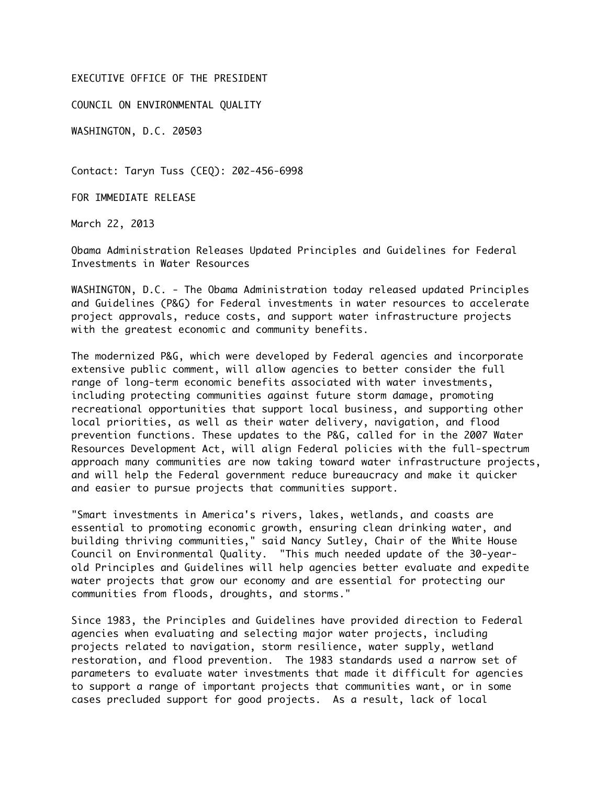#### EXECUTIVE OFFICE OF THE PRESIDENT

COUNCIL ON ENVIRONMENTAL QUALITY

WASHINGTON, D.C. 20503

Contact: Taryn Tuss (CEQ): 202-456-6998

FOR IMMEDIATE RELEASE

March 22, 2013

Obama Administration Releases Updated Principles and Guidelines for Federal Investments in Water Resources

WASHINGTON, D.C. - The Obama Administration today released updated Principles and Guidelines (P&G) for Federal investments in water resources to accelerate project approvals, reduce costs, and support water infrastructure projects with the greatest economic and community benefits.

The modernized P&G, which were developed by Federal agencies and incorporate extensive public comment, will allow agencies to better consider the full range of long-term economic benefits associated with water investments, including protecting communities against future storm damage, promoting recreational opportunities that support local business, and supporting other local priorities, as well as their water delivery, navigation, and flood prevention functions. These updates to the P&G, called for in the 2007 Water Resources Development Act, will align Federal policies with the full-spectrum approach many communities are now taking toward water infrastructure projects, and will help the Federal government reduce bureaucracy and make it quicker and easier to pursue projects that communities support.

"Smart investments in America's rivers, lakes, wetlands, and coasts are essential to promoting economic growth, ensuring clean drinking water, and building thriving communities," said Nancy Sutley, Chair of the White House Council on Environmental Quality. "This much needed update of the 30-yearold Principles and Guidelines will help agencies better evaluate and expedite water projects that grow our economy and are essential for protecting our communities from floods, droughts, and storms."

Since 1983, the Principles and Guidelines have provided direction to Federal agencies when evaluating and selecting major water projects, including projects related to navigation, storm resilience, water supply, wetland restoration, and flood prevention. The 1983 standards used a narrow set of parameters to evaluate water investments that made it difficult for agencies to support a range of important projects that communities want, or in some cases precluded support for good projects. As a result, lack of local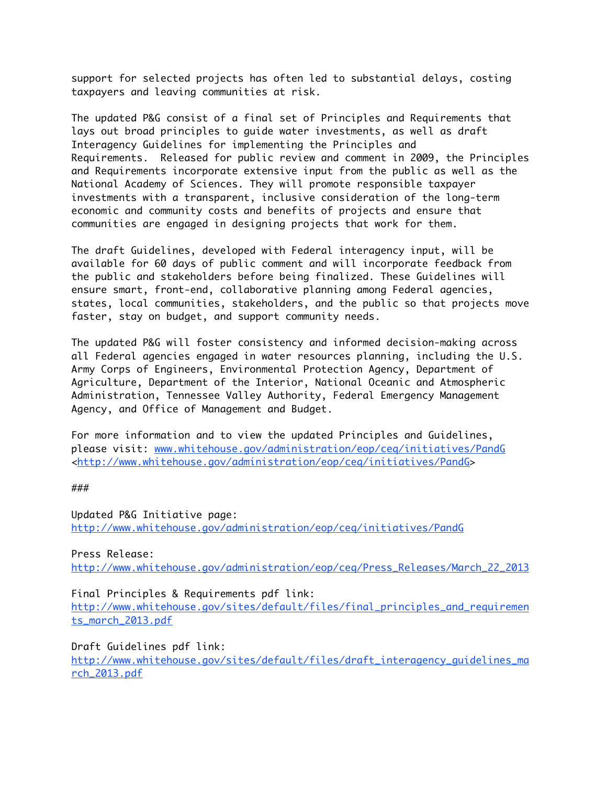support for selected projects has often led to substantial delays, costing taxpayers and leaving communities at risk.

The updated P&G consist of a final set of Principles and Requirements that lays out broad principles to guide water investments, as well as draft Interagency Guidelines for implementing the Principles and Requirements. Released for public review and comment in 2009, the Principles and Requirements incorporate extensive input from the public as well as the National Academy of Sciences. They will promote responsible taxpayer investments with a transparent, inclusive consideration of the long-term economic and community costs and benefits of projects and ensure that communities are engaged in designing projects that work for them.

The draft Guidelines, developed with Federal interagency input, will be available for 60 days of public comment and will incorporate feedback from the public and stakeholders before being finalized. These Guidelines will ensure smart, front-end, collaborative planning among Federal agencies, states, local communities, stakeholders, and the public so that projects move faster, stay on budget, and support community needs.

The updated P&G will foster consistency and informed decision-making across all Federal agencies engaged in water resources planning, including the U.S. Army Corps of Engineers, Environmental Protection Agency, Department of Agriculture, Department of the Interior, National Oceanic and Atmospheric Administration, Tennessee Valley Authority, Federal Emergency Management Agency, and Office of Management and Budget.

For more information and to view the updated Principles and Guidelines, please visit: www.whitehouse.gov/administration/eop/ceq/initiatives/PandG <http://www.whitehouse.gov/administration/eop/ceq/initiatives/PandG>

###

Updated P&G Initiative page: http://www.whitehouse.gov/administration/eop/ceq/initiatives/PandG

Press Release: http://www.whitehouse.gov/administration/eop/ceq/Press\_Releases/March\_22\_2013

Final Principles & Requirements pdf link:

http://www.whitehouse.gov/sites/default/files/final\_principles\_and\_requiremen ts\_march\_2013.pdf

Draft Guidelines pdf link:

http://www.whitehouse.gov/sites/default/files/draft\_interagency\_guidelines\_ma rch\_2013.pdf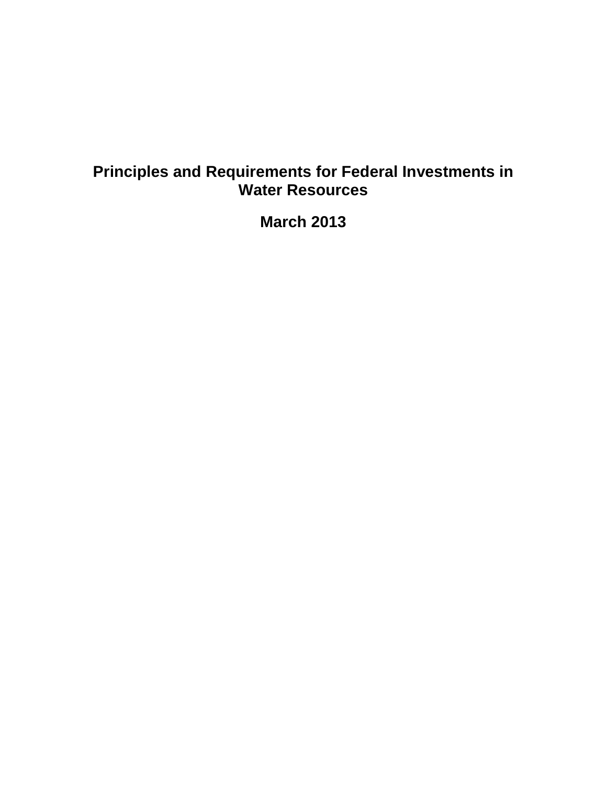# **Principles and Requirements for Federal Investments in Water Resources**

**March 2013**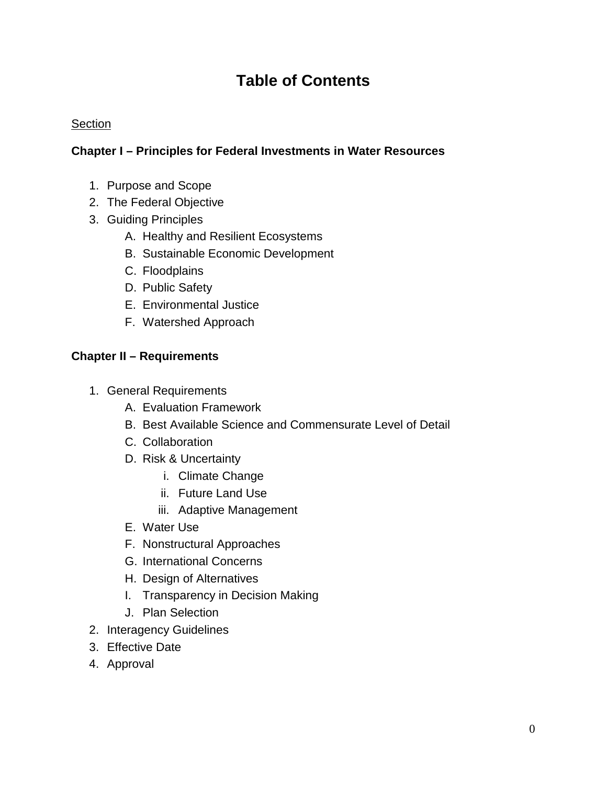# **Table of Contents**

#### **Section**

#### **Chapter I – Principles for Federal Investments in Water Resources**

- 1. Purpose and Scope
- 2. The Federal Objective
- 3. Guiding Principles
	- A. Healthy and Resilient Ecosystems
	- B. Sustainable Economic Development
	- C. Floodplains
	- D. Public Safety
	- E. Environmental Justice
	- F. Watershed Approach

### **Chapter II – Requirements**

- 1. General Requirements
	- A. Evaluation Framework
	- B. Best Available Science and Commensurate Level of Detail
	- C. Collaboration
	- D. Risk & Uncertainty
		- i. Climate Change
		- ii. Future Land Use
		- iii. Adaptive Management
	- E. Water Use
	- F. Nonstructural Approaches
	- G. International Concerns
	- H. Design of Alternatives
	- I. Transparency in Decision Making
	- J. Plan Selection
- 2. Interagency Guidelines
- 3. Effective Date
- 4. Approval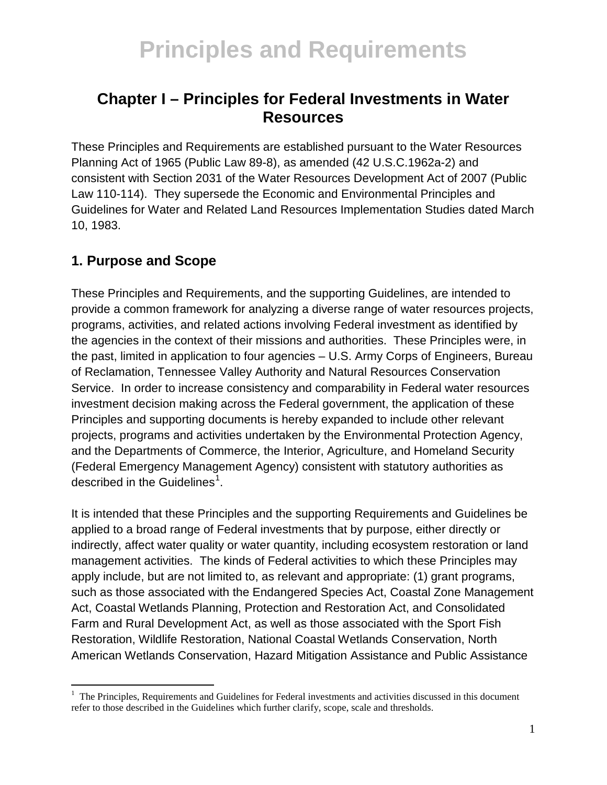## **Chapter I – Principles for Federal Investments in Water Resources**

These Principles and Requirements are established pursuant to the Water Resources Planning Act of 1965 (Public Law 89-8), as amended (42 U.S.C.1962a-2) and consistent with Section 2031 of the Water Resources Development Act of 2007 (Public Law 110-114). They supersede the Economic and Environmental Principles and Guidelines for Water and Related Land Resources Implementation Studies dated March 10, 1983.

## **1. Purpose and Scope**

These Principles and Requirements, and the supporting Guidelines, are intended to provide a common framework for analyzing a diverse range of water resources projects, programs, activities, and related actions involving Federal investment as identified by the agencies in the context of their missions and authorities. These Principles were, in the past, limited in application to four agencies – U.S. Army Corps of Engineers, Bureau of Reclamation, Tennessee Valley Authority and Natural Resources Conservation Service. In order to increase consistency and comparability in Federal water resources investment decision making across the Federal government, the application of these Principles and supporting documents is hereby expanded to include other relevant projects, programs and activities undertaken by the Environmental Protection Agency, and the Departments of Commerce, the Interior, Agriculture, and Homeland Security (Federal Emergency Management Agency) consistent with statutory authorities as described in the Guidelines<sup>[1](#page-4-0)</sup>.

It is intended that these Principles and the supporting Requirements and Guidelines be applied to a broad range of Federal investments that by purpose, either directly or indirectly, affect water quality or water quantity, including ecosystem restoration or land management activities. The kinds of Federal activities to which these Principles may apply include, but are not limited to, as relevant and appropriate: (1) grant programs, such as those associated with the Endangered Species Act, Coastal Zone Management Act, Coastal Wetlands Planning, Protection and Restoration Act, and Consolidated Farm and Rural Development Act, as well as those associated with the Sport Fish Restoration, Wildlife Restoration, National Coastal Wetlands Conservation, North American Wetlands Conservation, Hazard Mitigation Assistance and Public Assistance

<span id="page-4-0"></span> $\frac{1}{1}$  The Principles, Requirements and Guidelines for Federal investments and activities discussed in this document refer to those described in the Guidelines which further clarify, scope, scale and thresholds.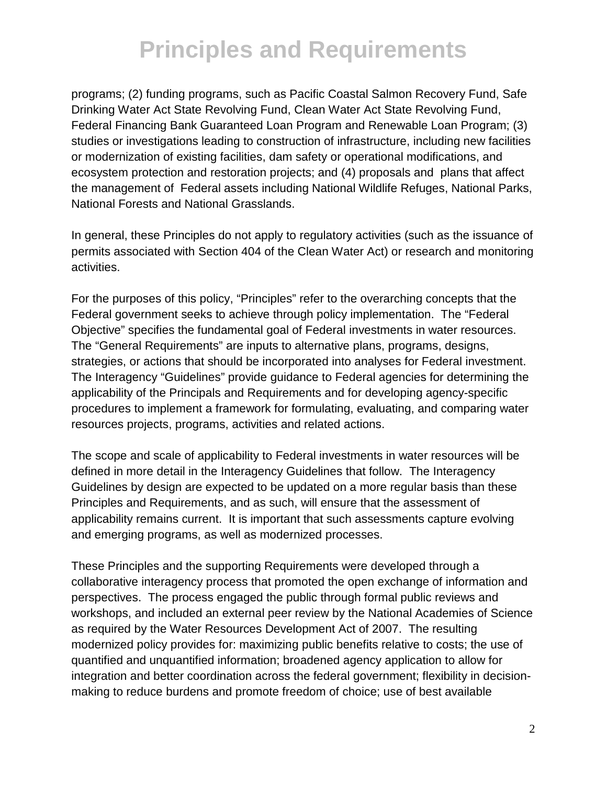programs; (2) funding programs, such as Pacific Coastal Salmon Recovery Fund, Safe Drinking Water Act State Revolving Fund, Clean Water Act State Revolving Fund, Federal Financing Bank Guaranteed Loan Program and Renewable Loan Program; (3) studies or investigations leading to construction of infrastructure, including new facilities or modernization of existing facilities, dam safety or operational modifications, and ecosystem protection and restoration projects; and (4) proposals and plans that affect the management of Federal assets including National Wildlife Refuges, National Parks, National Forests and National Grasslands.

In general, these Principles do not apply to regulatory activities (such as the issuance of permits associated with Section 404 of the Clean Water Act) or research and monitoring activities.

For the purposes of this policy, "Principles" refer to the overarching concepts that the Federal government seeks to achieve through policy implementation. The "Federal Objective" specifies the fundamental goal of Federal investments in water resources. The "General Requirements" are inputs to alternative plans, programs, designs, strategies, or actions that should be incorporated into analyses for Federal investment. The Interagency "Guidelines" provide guidance to Federal agencies for determining the applicability of the Principals and Requirements and for developing agency-specific procedures to implement a framework for formulating, evaluating, and comparing water resources projects, programs, activities and related actions.

The scope and scale of applicability to Federal investments in water resources will be defined in more detail in the Interagency Guidelines that follow. The Interagency Guidelines by design are expected to be updated on a more regular basis than these Principles and Requirements, and as such, will ensure that the assessment of applicability remains current. It is important that such assessments capture evolving and emerging programs, as well as modernized processes.

These Principles and the supporting Requirements were developed through a collaborative interagency process that promoted the open exchange of information and perspectives. The process engaged the public through formal public reviews and workshops, and included an external peer review by the National Academies of Science as required by the Water Resources Development Act of 2007. The resulting modernized policy provides for: maximizing public benefits relative to costs; the use of quantified and unquantified information; broadened agency application to allow for integration and better coordination across the federal government; flexibility in decisionmaking to reduce burdens and promote freedom of choice; use of best available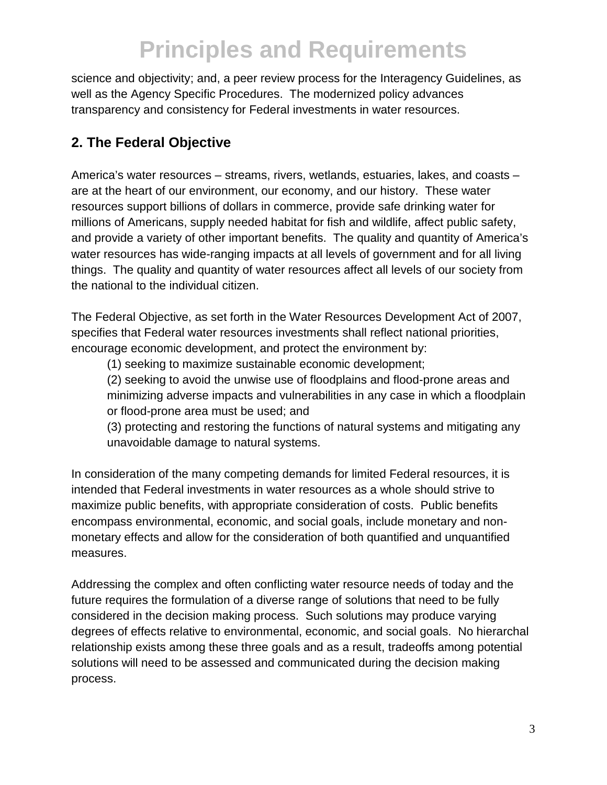science and objectivity; and, a peer review process for the Interagency Guidelines, as well as the Agency Specific Procedures. The modernized policy advances transparency and consistency for Federal investments in water resources.

## **2. The Federal Objective**

America's water resources – streams, rivers, wetlands, estuaries, lakes, and coasts – are at the heart of our environment, our economy, and our history. These water resources support billions of dollars in commerce, provide safe drinking water for millions of Americans, supply needed habitat for fish and wildlife, affect public safety, and provide a variety of other important benefits. The quality and quantity of America's water resources has wide-ranging impacts at all levels of government and for all living things. The quality and quantity of water resources affect all levels of our society from the national to the individual citizen.

The Federal Objective, as set forth in the Water Resources Development Act of 2007, specifies that Federal water resources investments shall reflect national priorities, encourage economic development, and protect the environment by:

(1) seeking to maximize sustainable economic development;

(2) seeking to avoid the unwise use of floodplains and flood-prone areas and minimizing adverse impacts and vulnerabilities in any case in which a floodplain or flood-prone area must be used; and

(3) protecting and restoring the functions of natural systems and mitigating any unavoidable damage to natural systems.

In consideration of the many competing demands for limited Federal resources, it is intended that Federal investments in water resources as a whole should strive to maximize public benefits, with appropriate consideration of costs. Public benefits encompass environmental, economic, and social goals, include monetary and nonmonetary effects and allow for the consideration of both quantified and unquantified measures.

Addressing the complex and often conflicting water resource needs of today and the future requires the formulation of a diverse range of solutions that need to be fully considered in the decision making process. Such solutions may produce varying degrees of effects relative to environmental, economic, and social goals. No hierarchal relationship exists among these three goals and as a result, tradeoffs among potential solutions will need to be assessed and communicated during the decision making process.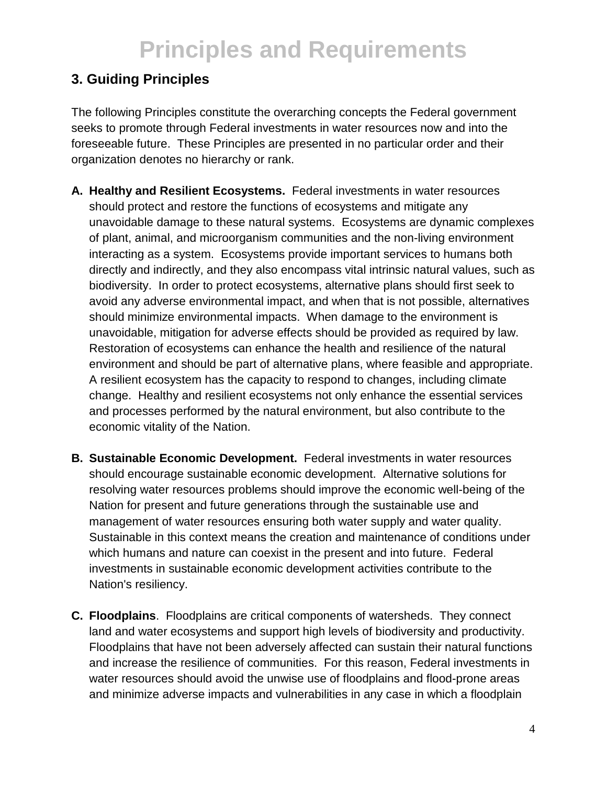## **3. Guiding Principles**

The following Principles constitute the overarching concepts the Federal government seeks to promote through Federal investments in water resources now and into the foreseeable future. These Principles are presented in no particular order and their organization denotes no hierarchy or rank.

- **A. Healthy and Resilient Ecosystems.** Federal investments in water resources should protect and restore the functions of ecosystems and mitigate any unavoidable damage to these natural systems. Ecosystems are dynamic complexes of plant, animal, and microorganism communities and the non-living environment interacting as a system. Ecosystems provide important services to humans both directly and indirectly, and they also encompass vital intrinsic natural values, such as biodiversity. In order to protect ecosystems, alternative plans should first seek to avoid any adverse environmental impact, and when that is not possible, alternatives should minimize environmental impacts. When damage to the environment is unavoidable, mitigation for adverse effects should be provided as required by law. Restoration of ecosystems can enhance the health and resilience of the natural environment and should be part of alternative plans, where feasible and appropriate. A resilient ecosystem has the capacity to respond to changes, including climate change. Healthy and resilient ecosystems not only enhance the essential services and processes performed by the natural environment, but also contribute to the economic vitality of the Nation.
- **B. Sustainable Economic Development.** Federal investments in water resources should encourage sustainable economic development. Alternative solutions for resolving water resources problems should improve the economic well-being of the Nation for present and future generations through the sustainable use and management of water resources ensuring both water supply and water quality. Sustainable in this context means the creation and maintenance of conditions under which humans and nature can coexist in the present and into future. Federal investments in sustainable economic development activities contribute to the Nation's resiliency.
- **C. Floodplains**. Floodplains are critical components of watersheds. They connect land and water ecosystems and support high levels of biodiversity and productivity. Floodplains that have not been adversely affected can sustain their natural functions and increase the resilience of communities. For this reason, Federal investments in water resources should avoid the unwise use of floodplains and flood-prone areas and minimize adverse impacts and vulnerabilities in any case in which a floodplain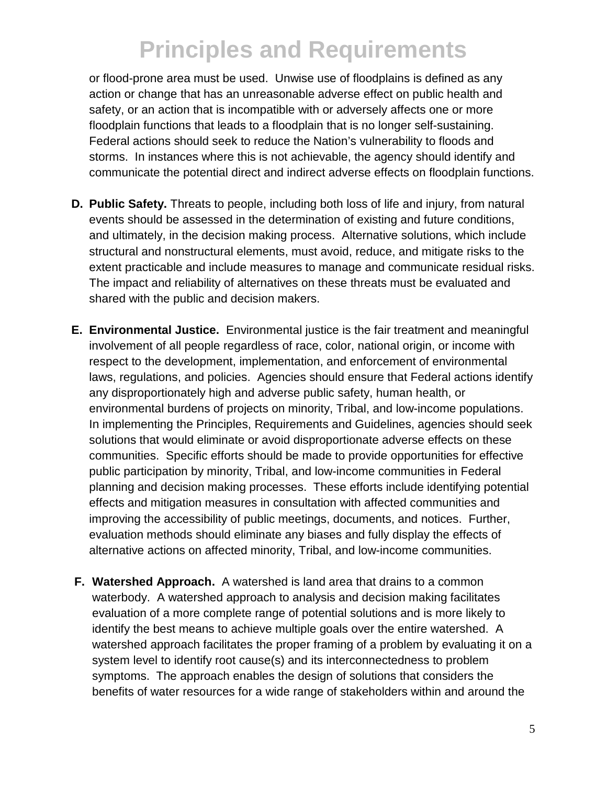or flood-prone area must be used. Unwise use of floodplains is defined as any action or change that has an unreasonable adverse effect on public health and safety, or an action that is incompatible with or adversely affects one or more floodplain functions that leads to a floodplain that is no longer self-sustaining. Federal actions should seek to reduce the Nation's vulnerability to floods and storms. In instances where this is not achievable, the agency should identify and communicate the potential direct and indirect adverse effects on floodplain functions.

- **D. Public Safety.** Threats to people, including both loss of life and injury, from natural events should be assessed in the determination of existing and future conditions, and ultimately, in the decision making process. Alternative solutions, which include structural and nonstructural elements, must avoid, reduce, and mitigate risks to the extent practicable and include measures to manage and communicate residual risks. The impact and reliability of alternatives on these threats must be evaluated and shared with the public and decision makers.
- **E. Environmental Justice.** Environmental justice is the fair treatment and meaningful involvement of all people regardless of race, color, national origin, or income with respect to the development, implementation, and enforcement of environmental laws, regulations, and policies. Agencies should ensure that Federal actions identify any disproportionately high and adverse public safety, human health, or environmental burdens of projects on minority, Tribal, and low-income populations. In implementing the Principles, Requirements and Guidelines, agencies should seek solutions that would eliminate or avoid disproportionate adverse effects on these communities. Specific efforts should be made to provide opportunities for effective public participation by minority, Tribal, and low-income communities in Federal planning and decision making processes. These efforts include identifying potential effects and mitigation measures in consultation with affected communities and improving the accessibility of public meetings, documents, and notices. Further, evaluation methods should eliminate any biases and fully display the effects of alternative actions on affected minority, Tribal, and low-income communities.
- **F. Watershed Approach.** A watershed is land area that drains to a common waterbody. A watershed approach to analysis and decision making facilitates evaluation of a more complete range of potential solutions and is more likely to identify the best means to achieve multiple goals over the entire watershed. A watershed approach facilitates the proper framing of a problem by evaluating it on a system level to identify root cause(s) and its interconnectedness to problem symptoms. The approach enables the design of solutions that considers the benefits of water resources for a wide range of stakeholders within and around the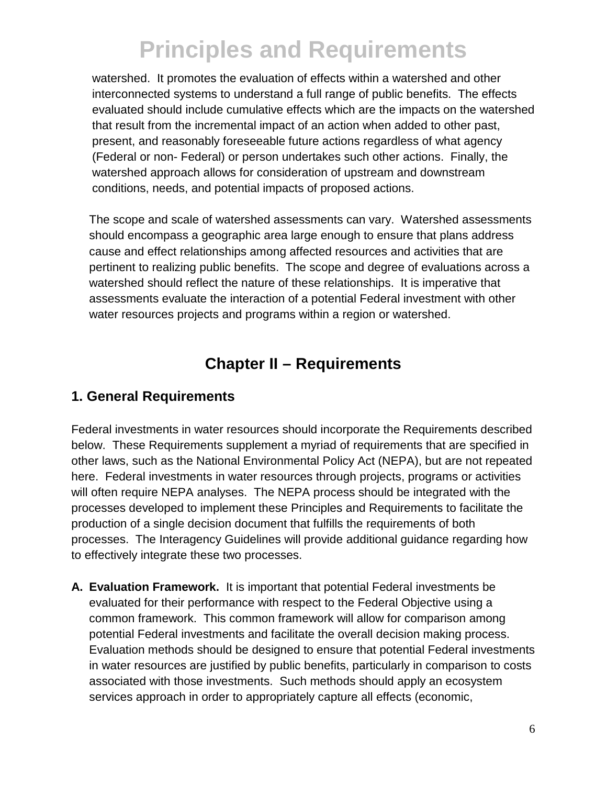watershed. It promotes the evaluation of effects within a watershed and other interconnected systems to understand a full range of public benefits. The effects evaluated should include cumulative effects which are the impacts on the watershed that result from the incremental impact of an action when added to other past, present, and reasonably foreseeable future actions regardless of what agency (Federal or non- Federal) or person undertakes such other actions. Finally, the watershed approach allows for consideration of upstream and downstream conditions, needs, and potential impacts of proposed actions.

The scope and scale of watershed assessments can vary. Watershed assessments should encompass a geographic area large enough to ensure that plans address cause and effect relationships among affected resources and activities that are pertinent to realizing public benefits. The scope and degree of evaluations across a watershed should reflect the nature of these relationships. It is imperative that assessments evaluate the interaction of a potential Federal investment with other water resources projects and programs within a region or watershed.

## **Chapter II – Requirements**

## **1. General Requirements**

Federal investments in water resources should incorporate the Requirements described below. These Requirements supplement a myriad of requirements that are specified in other laws, such as the National Environmental Policy Act (NEPA), but are not repeated here. Federal investments in water resources through projects, programs or activities will often require NEPA analyses. The NEPA process should be integrated with the processes developed to implement these Principles and Requirements to facilitate the production of a single decision document that fulfills the requirements of both processes. The Interagency Guidelines will provide additional guidance regarding how to effectively integrate these two processes.

**A. Evaluation Framework.** It is important that potential Federal investments be evaluated for their performance with respect to the Federal Objective using a common framework. This common framework will allow for comparison among potential Federal investments and facilitate the overall decision making process. Evaluation methods should be designed to ensure that potential Federal investments in water resources are justified by public benefits, particularly in comparison to costs associated with those investments. Such methods should apply an ecosystem services approach in order to appropriately capture all effects (economic,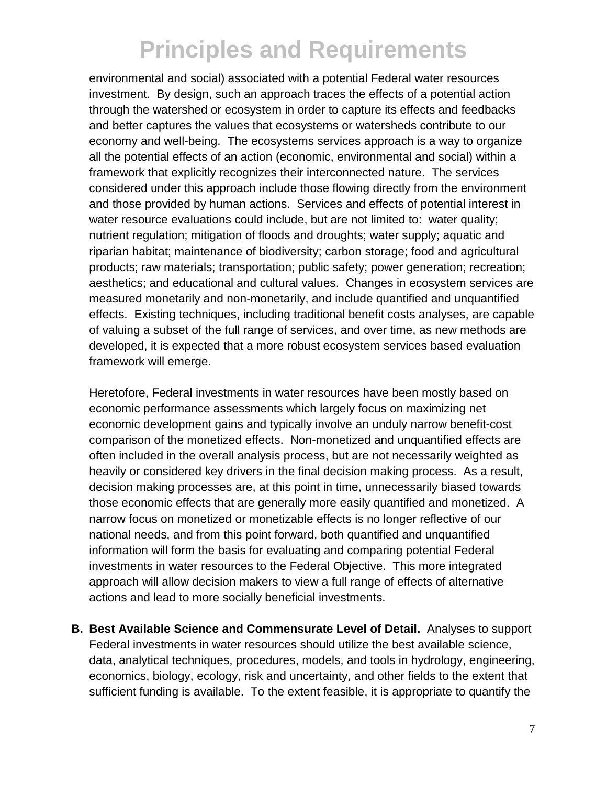environmental and social) associated with a potential Federal water resources investment. By design, such an approach traces the effects of a potential action through the watershed or ecosystem in order to capture its effects and feedbacks and better captures the values that ecosystems or watersheds contribute to our economy and well-being. The ecosystems services approach is a way to organize all the potential effects of an action (economic, environmental and social) within a framework that explicitly recognizes their interconnected nature. The services considered under this approach include those flowing directly from the environment and those provided by human actions. Services and effects of potential interest in water resource evaluations could include, but are not limited to: water quality; nutrient regulation; mitigation of floods and droughts; water supply; aquatic and riparian habitat; maintenance of biodiversity; carbon storage; food and agricultural products; raw materials; transportation; public safety; power generation; recreation; aesthetics; and educational and cultural values. Changes in ecosystem services are measured monetarily and non-monetarily, and include quantified and unquantified effects. Existing techniques, including traditional benefit costs analyses, are capable of valuing a subset of the full range of services, and over time, as new methods are developed, it is expected that a more robust ecosystem services based evaluation framework will emerge.

Heretofore, Federal investments in water resources have been mostly based on economic performance assessments which largely focus on maximizing net economic development gains and typically involve an unduly narrow benefit-cost comparison of the monetized effects. Non-monetized and unquantified effects are often included in the overall analysis process, but are not necessarily weighted as heavily or considered key drivers in the final decision making process. As a result, decision making processes are, at this point in time, unnecessarily biased towards those economic effects that are generally more easily quantified and monetized. A narrow focus on monetized or monetizable effects is no longer reflective of our national needs, and from this point forward, both quantified and unquantified information will form the basis for evaluating and comparing potential Federal investments in water resources to the Federal Objective. This more integrated approach will allow decision makers to view a full range of effects of alternative actions and lead to more socially beneficial investments.

**B. Best Available Science and Commensurate Level of Detail.** Analyses to support Federal investments in water resources should utilize the best available science, data, analytical techniques, procedures, models, and tools in hydrology, engineering, economics, biology, ecology, risk and uncertainty, and other fields to the extent that sufficient funding is available. To the extent feasible, it is appropriate to quantify the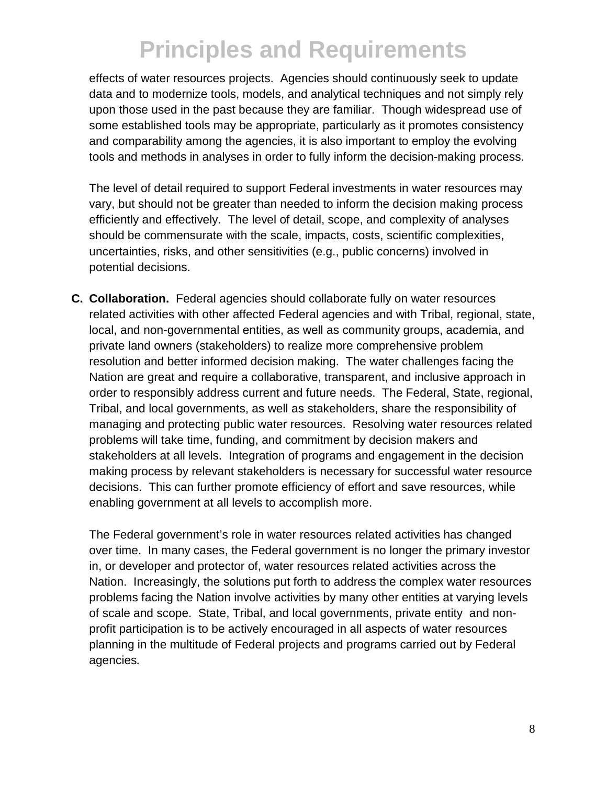effects of water resources projects. Agencies should continuously seek to update data and to modernize tools, models, and analytical techniques and not simply rely upon those used in the past because they are familiar. Though widespread use of some established tools may be appropriate, particularly as it promotes consistency and comparability among the agencies, it is also important to employ the evolving tools and methods in analyses in order to fully inform the decision-making process.

The level of detail required to support Federal investments in water resources may vary, but should not be greater than needed to inform the decision making process efficiently and effectively. The level of detail, scope, and complexity of analyses should be commensurate with the scale, impacts, costs, scientific complexities, uncertainties, risks, and other sensitivities (e.g., public concerns) involved in potential decisions.

**C. Collaboration.** Federal agencies should collaborate fully on water resources related activities with other affected Federal agencies and with Tribal, regional, state, local, and non-governmental entities, as well as community groups, academia, and private land owners (stakeholders) to realize more comprehensive problem resolution and better informed decision making. The water challenges facing the Nation are great and require a collaborative, transparent, and inclusive approach in order to responsibly address current and future needs. The Federal, State, regional, Tribal, and local governments, as well as stakeholders, share the responsibility of managing and protecting public water resources. Resolving water resources related problems will take time, funding, and commitment by decision makers and stakeholders at all levels. Integration of programs and engagement in the decision making process by relevant stakeholders is necessary for successful water resource decisions. This can further promote efficiency of effort and save resources, while enabling government at all levels to accomplish more.

The Federal government's role in water resources related activities has changed over time. In many cases, the Federal government is no longer the primary investor in, or developer and protector of, water resources related activities across the Nation. Increasingly, the solutions put forth to address the complex water resources problems facing the Nation involve activities by many other entities at varying levels of scale and scope. State, Tribal, and local governments, private entity and nonprofit participation is to be actively encouraged in all aspects of water resources planning in the multitude of Federal projects and programs carried out by Federal agencies*.*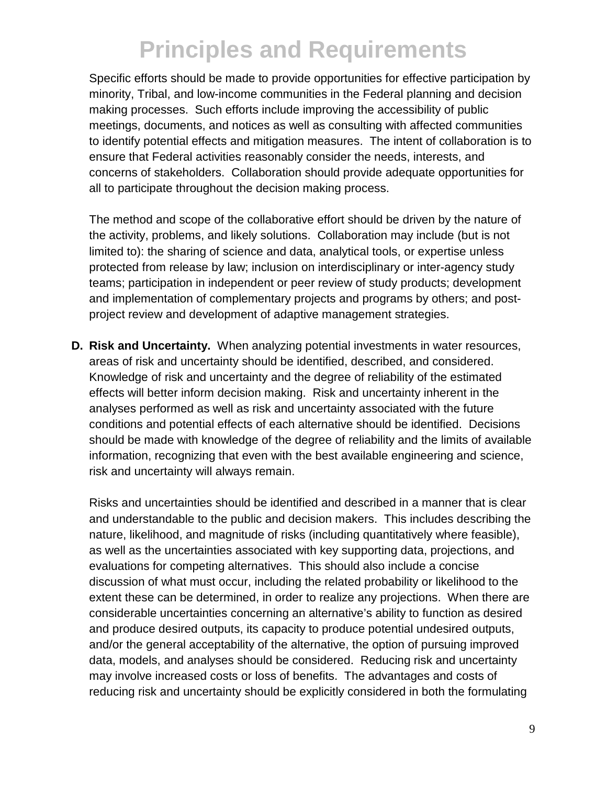Specific efforts should be made to provide opportunities for effective participation by minority, Tribal, and low-income communities in the Federal planning and decision making processes. Such efforts include improving the accessibility of public meetings, documents, and notices as well as consulting with affected communities to identify potential effects and mitigation measures. The intent of collaboration is to ensure that Federal activities reasonably consider the needs, interests, and concerns of stakeholders. Collaboration should provide adequate opportunities for all to participate throughout the decision making process.

The method and scope of the collaborative effort should be driven by the nature of the activity, problems, and likely solutions. Collaboration may include (but is not limited to): the sharing of science and data, analytical tools, or expertise unless protected from release by law; inclusion on interdisciplinary or inter-agency study teams; participation in independent or peer review of study products; development and implementation of complementary projects and programs by others; and postproject review and development of adaptive management strategies.

**D. Risk and Uncertainty.** When analyzing potential investments in water resources, areas of risk and uncertainty should be identified, described, and considered. Knowledge of risk and uncertainty and the degree of reliability of the estimated effects will better inform decision making. Risk and uncertainty inherent in the analyses performed as well as risk and uncertainty associated with the future conditions and potential effects of each alternative should be identified. Decisions should be made with knowledge of the degree of reliability and the limits of available information, recognizing that even with the best available engineering and science, risk and uncertainty will always remain.

Risks and uncertainties should be identified and described in a manner that is clear and understandable to the public and decision makers. This includes describing the nature, likelihood, and magnitude of risks (including quantitatively where feasible), as well as the uncertainties associated with key supporting data, projections, and evaluations for competing alternatives. This should also include a concise discussion of what must occur, including the related probability or likelihood to the extent these can be determined, in order to realize any projections. When there are considerable uncertainties concerning an alternative's ability to function as desired and produce desired outputs, its capacity to produce potential undesired outputs, and/or the general acceptability of the alternative, the option of pursuing improved data, models, and analyses should be considered. Reducing risk and uncertainty may involve increased costs or loss of benefits. The advantages and costs of reducing risk and uncertainty should be explicitly considered in both the formulating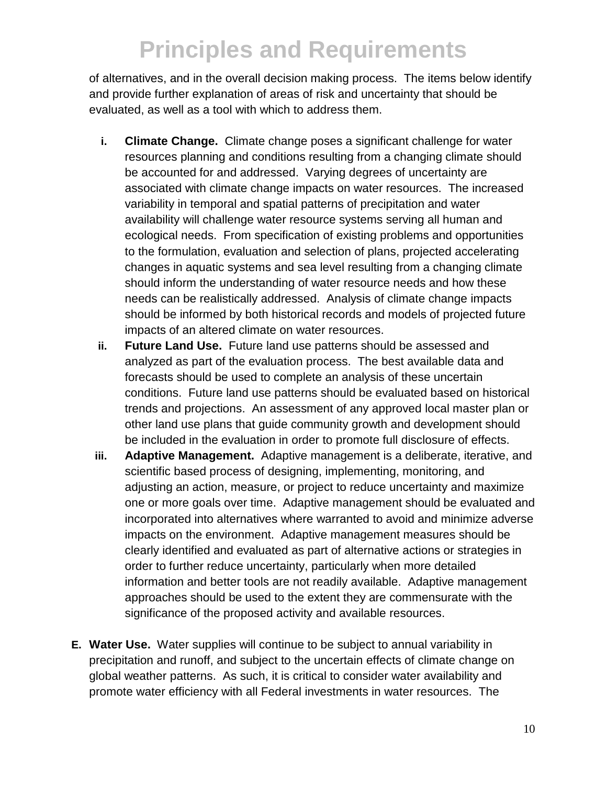of alternatives, and in the overall decision making process. The items below identify and provide further explanation of areas of risk and uncertainty that should be evaluated, as well as a tool with which to address them.

- **i. Climate Change.** Climate change poses a significant challenge for water resources planning and conditions resulting from a changing climate should be accounted for and addressed. Varying degrees of uncertainty are associated with climate change impacts on water resources. The increased variability in temporal and spatial patterns of precipitation and water availability will challenge water resource systems serving all human and ecological needs. From specification of existing problems and opportunities to the formulation, evaluation and selection of plans, projected accelerating changes in aquatic systems and sea level resulting from a changing climate should inform the understanding of water resource needs and how these needs can be realistically addressed. Analysis of climate change impacts should be informed by both historical records and models of projected future impacts of an altered climate on water resources.
- **ii. Future Land Use.** Future land use patterns should be assessed and analyzed as part of the evaluation process. The best available data and forecasts should be used to complete an analysis of these uncertain conditions. Future land use patterns should be evaluated based on historical trends and projections. An assessment of any approved local master plan or other land use plans that guide community growth and development should be included in the evaluation in order to promote full disclosure of effects.
- **iii. Adaptive Management.** Adaptive management is a deliberate, iterative, and scientific based process of designing, implementing, monitoring, and adjusting an action, measure, or project to reduce uncertainty and maximize one or more goals over time. Adaptive management should be evaluated and incorporated into alternatives where warranted to avoid and minimize adverse impacts on the environment. Adaptive management measures should be clearly identified and evaluated as part of alternative actions or strategies in order to further reduce uncertainty, particularly when more detailed information and better tools are not readily available. Adaptive management approaches should be used to the extent they are commensurate with the significance of the proposed activity and available resources.
- **E. Water Use.** Water supplies will continue to be subject to annual variability in precipitation and runoff, and subject to the uncertain effects of climate change on global weather patterns. As such, it is critical to consider water availability and promote water efficiency with all Federal investments in water resources. The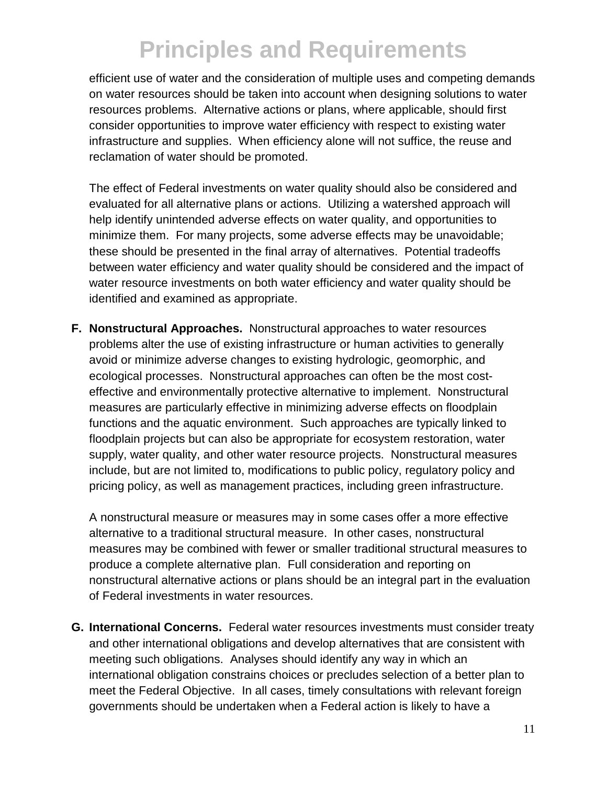efficient use of water and the consideration of multiple uses and competing demands on water resources should be taken into account when designing solutions to water resources problems. Alternative actions or plans, where applicable, should first consider opportunities to improve water efficiency with respect to existing water infrastructure and supplies. When efficiency alone will not suffice, the reuse and reclamation of water should be promoted.

The effect of Federal investments on water quality should also be considered and evaluated for all alternative plans or actions. Utilizing a watershed approach will help identify unintended adverse effects on water quality, and opportunities to minimize them. For many projects, some adverse effects may be unavoidable; these should be presented in the final array of alternatives. Potential tradeoffs between water efficiency and water quality should be considered and the impact of water resource investments on both water efficiency and water quality should be identified and examined as appropriate.

**F. Nonstructural Approaches.** Nonstructural approaches to water resources problems alter the use of existing infrastructure or human activities to generally avoid or minimize adverse changes to existing hydrologic, geomorphic, and ecological processes. Nonstructural approaches can often be the most costeffective and environmentally protective alternative to implement. Nonstructural measures are particularly effective in minimizing adverse effects on floodplain functions and the aquatic environment. Such approaches are typically linked to floodplain projects but can also be appropriate for ecosystem restoration, water supply, water quality, and other water resource projects. Nonstructural measures include, but are not limited to, modifications to public policy, regulatory policy and pricing policy, as well as management practices, including green infrastructure.

A nonstructural measure or measures may in some cases offer a more effective alternative to a traditional structural measure. In other cases, nonstructural measures may be combined with fewer or smaller traditional structural measures to produce a complete alternative plan. Full consideration and reporting on nonstructural alternative actions or plans should be an integral part in the evaluation of Federal investments in water resources.

**G. International Concerns.** Federal water resources investments must consider treaty and other international obligations and develop alternatives that are consistent with meeting such obligations. Analyses should identify any way in which an international obligation constrains choices or precludes selection of a better plan to meet the Federal Objective. In all cases, timely consultations with relevant foreign governments should be undertaken when a Federal action is likely to have a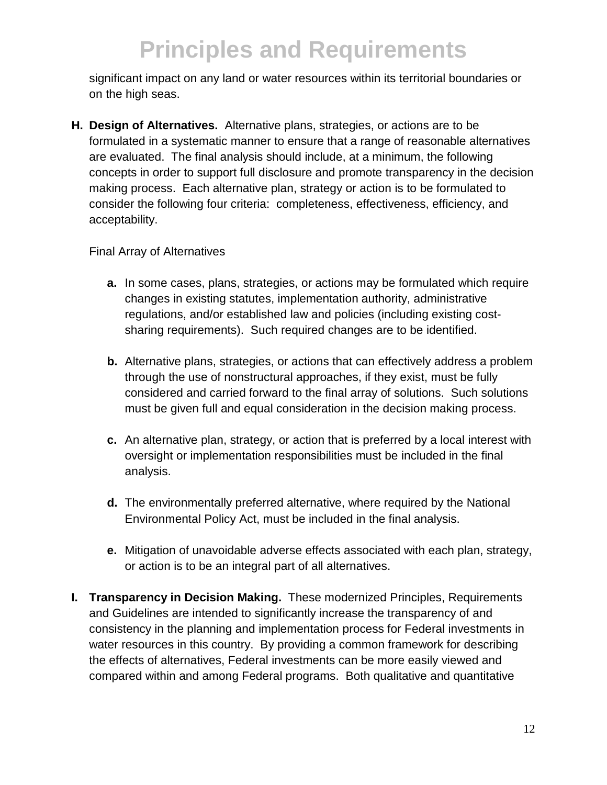significant impact on any land or water resources within its territorial boundaries or on the high seas.

**H. Design of Alternatives.** Alternative plans, strategies, or actions are to be formulated in a systematic manner to ensure that a range of reasonable alternatives are evaluated. The final analysis should include, at a minimum, the following concepts in order to support full disclosure and promote transparency in the decision making process. Each alternative plan, strategy or action is to be formulated to consider the following four criteria: completeness, effectiveness, efficiency, and acceptability.

#### Final Array of Alternatives

- **a.** In some cases, plans, strategies, or actions may be formulated which require changes in existing statutes, implementation authority, administrative regulations, and/or established law and policies (including existing costsharing requirements). Such required changes are to be identified.
- **b.** Alternative plans, strategies, or actions that can effectively address a problem through the use of nonstructural approaches, if they exist, must be fully considered and carried forward to the final array of solutions. Such solutions must be given full and equal consideration in the decision making process.
- **c.** An alternative plan, strategy, or action that is preferred by a local interest with oversight or implementation responsibilities must be included in the final analysis.
- **d.** The environmentally preferred alternative, where required by the National Environmental Policy Act, must be included in the final analysis.
- **e.** Mitigation of unavoidable adverse effects associated with each plan, strategy, or action is to be an integral part of all alternatives.
- **I. Transparency in Decision Making.** These modernized Principles, Requirements and Guidelines are intended to significantly increase the transparency of and consistency in the planning and implementation process for Federal investments in water resources in this country. By providing a common framework for describing the effects of alternatives, Federal investments can be more easily viewed and compared within and among Federal programs. Both qualitative and quantitative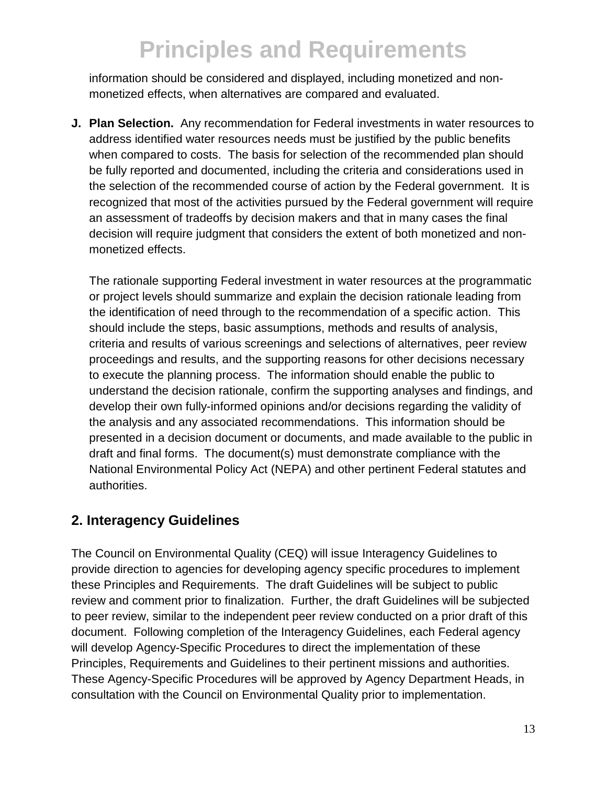information should be considered and displayed, including monetized and nonmonetized effects, when alternatives are compared and evaluated.

**J. Plan Selection.** Any recommendation for Federal investments in water resources to address identified water resources needs must be justified by the public benefits when compared to costs. The basis for selection of the recommended plan should be fully reported and documented, including the criteria and considerations used in the selection of the recommended course of action by the Federal government. It is recognized that most of the activities pursued by the Federal government will require an assessment of tradeoffs by decision makers and that in many cases the final decision will require judgment that considers the extent of both monetized and nonmonetized effects.

The rationale supporting Federal investment in water resources at the programmatic or project levels should summarize and explain the decision rationale leading from the identification of need through to the recommendation of a specific action. This should include the steps, basic assumptions, methods and results of analysis, criteria and results of various screenings and selections of alternatives, peer review proceedings and results, and the supporting reasons for other decisions necessary to execute the planning process. The information should enable the public to understand the decision rationale, confirm the supporting analyses and findings, and develop their own fully-informed opinions and/or decisions regarding the validity of the analysis and any associated recommendations. This information should be presented in a decision document or documents, and made available to the public in draft and final forms. The document(s) must demonstrate compliance with the National Environmental Policy Act (NEPA) and other pertinent Federal statutes and authorities.

## **2. Interagency Guidelines**

The Council on Environmental Quality (CEQ) will issue Interagency Guidelines to provide direction to agencies for developing agency specific procedures to implement these Principles and Requirements. The draft Guidelines will be subject to public review and comment prior to finalization. Further, the draft Guidelines will be subjected to peer review, similar to the independent peer review conducted on a prior draft of this document. Following completion of the Interagency Guidelines, each Federal agency will develop Agency-Specific Procedures to direct the implementation of these Principles, Requirements and Guidelines to their pertinent missions and authorities. These Agency-Specific Procedures will be approved by Agency Department Heads, in consultation with the Council on Environmental Quality prior to implementation.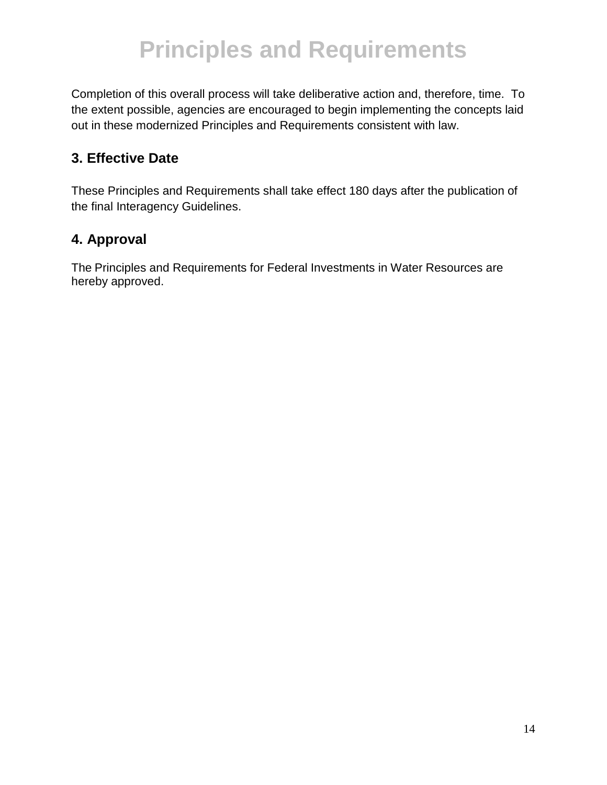Completion of this overall process will take deliberative action and, therefore, time. To the extent possible, agencies are encouraged to begin implementing the concepts laid out in these modernized Principles and Requirements consistent with law.

## **3. Effective Date**

These Principles and Requirements shall take effect 180 days after the publication of the final Interagency Guidelines.

## **4. Approval**

The Principles and Requirements for Federal Investments in Water Resources are hereby approved.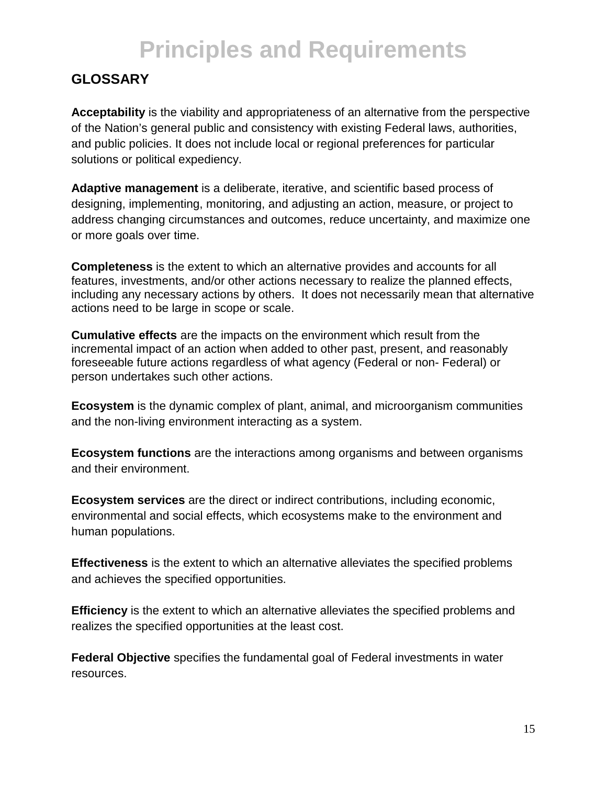## **GLOSSARY**

**Acceptability** is the viability and appropriateness of an alternative from the perspective of the Nation's general public and consistency with existing Federal laws, authorities, and public policies. It does not include local or regional preferences for particular solutions or political expediency.

**Adaptive management** is a deliberate, iterative, and scientific based process of designing, implementing, monitoring, and adjusting an action, measure, or project to address changing circumstances and outcomes, reduce uncertainty, and maximize one or more goals over time.

**Completeness** is the extent to which an alternative provides and accounts for all features, investments, and/or other actions necessary to realize the planned effects, including any necessary actions by others. It does not necessarily mean that alternative actions need to be large in scope or scale.

**Cumulative effects** are the impacts on the environment which result from the incremental impact of an action when added to other past, present, and reasonably foreseeable future actions regardless of what agency (Federal or non- Federal) or person undertakes such other actions.

**Ecosystem** is the dynamic complex of plant, animal, and microorganism communities and the non-living environment interacting as a system.

**Ecosystem functions** are the interactions among organisms and between organisms and their environment.

**Ecosystem services** are the direct or indirect contributions, including economic, environmental and social effects, which ecosystems make to the environment and human populations.

**Effectiveness** is the extent to which an alternative alleviates the specified problems and achieves the specified opportunities.

**Efficiency** is the extent to which an alternative alleviates the specified problems and realizes the specified opportunities at the least cost.

**Federal Objective** specifies the fundamental goal of Federal investments in water resources.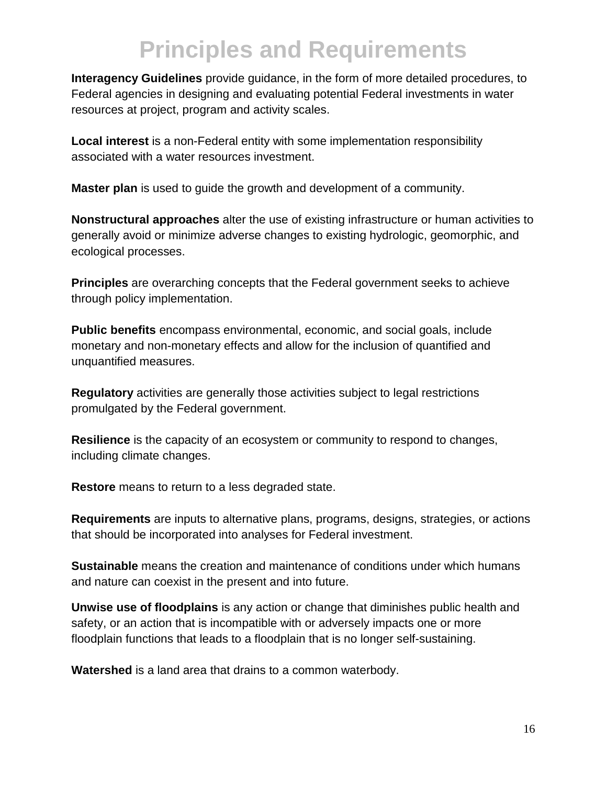**Interagency Guidelines** provide guidance, in the form of more detailed procedures, to Federal agencies in designing and evaluating potential Federal investments in water resources at project, program and activity scales.

**Local interest** is a non-Federal entity with some implementation responsibility associated with a water resources investment.

**Master plan** is used to guide the growth and development of a community.

**Nonstructural approaches** alter the use of existing infrastructure or human activities to generally avoid or minimize adverse changes to existing hydrologic, geomorphic, and ecological processes.

**Principles** are overarching concepts that the Federal government seeks to achieve through policy implementation.

**Public benefits** encompass environmental, economic, and social goals, include monetary and non-monetary effects and allow for the inclusion of quantified and unquantified measures.

**Regulatory** activities are generally those activities subject to legal restrictions promulgated by the Federal government.

**Resilience** is the capacity of an ecosystem or community to respond to changes, including climate changes.

**Restore** means to return to a less degraded state.

**Requirements** are inputs to alternative plans, programs, designs, strategies, or actions that should be incorporated into analyses for Federal investment.

**Sustainable** means the creation and maintenance of conditions under which humans and nature can coexist in the present and into future.

**Unwise use of floodplains** is any action or change that diminishes public health and safety, or an action that is incompatible with or adversely impacts one or more floodplain functions that leads to a floodplain that is no longer self-sustaining.

**Watershed** is a land area that drains to a common waterbody.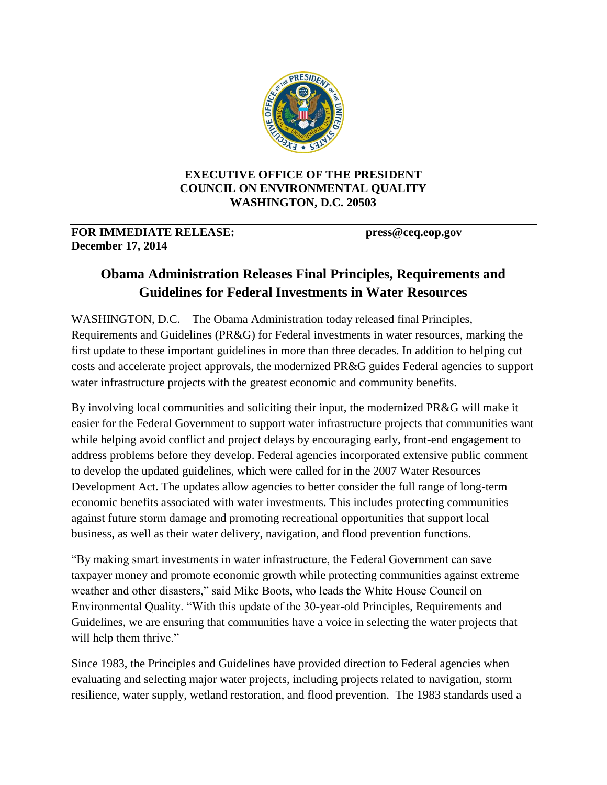

#### **EXECUTIVE OFFICE OF THE PRESIDENT COUNCIL ON ENVIRONMENTAL QUALITY WASHINGTON, D.C. 20503**

#### **FOR IMMEDIATE RELEASE: press@ceq.eop.gov December 17, 2014**

## **Obama Administration Releases Final Principles, Requirements and Guidelines for Federal Investments in Water Resources**

WASHINGTON, D.C. – The Obama Administration today released final Principles, Requirements and Guidelines (PR&G) for Federal investments in water resources, marking the first update to these important guidelines in more than three decades. In addition to helping cut costs and accelerate project approvals, the modernized PR&G guides Federal agencies to support water infrastructure projects with the greatest economic and community benefits.

By involving local communities and soliciting their input, the modernized PR&G will make it easier for the Federal Government to support water infrastructure projects that communities want while helping avoid conflict and project delays by encouraging early, front-end engagement to address problems before they develop. Federal agencies incorporated extensive public comment to develop the updated guidelines, which were called for in the 2007 Water Resources Development Act. The updates allow agencies to better consider the full range of long-term economic benefits associated with water investments. This includes protecting communities against future storm damage and promoting recreational opportunities that support local business, as well as their water delivery, navigation, and flood prevention functions.

"By making smart investments in water infrastructure, the Federal Government can save taxpayer money and promote economic growth while protecting communities against extreme weather and other disasters," said Mike Boots, who leads the White House Council on Environmental Quality. "With this update of the 30-year-old Principles, Requirements and Guidelines, we are ensuring that communities have a voice in selecting the water projects that will help them thrive."

Since 1983, the Principles and Guidelines have provided direction to Federal agencies when evaluating and selecting major water projects, including projects related to navigation, storm resilience, water supply, wetland restoration, and flood prevention. The 1983 standards used a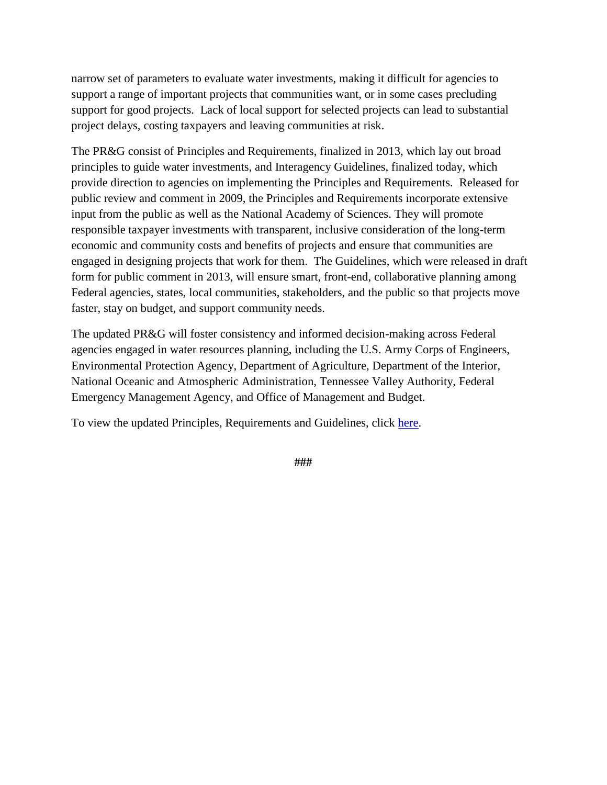narrow set of parameters to evaluate water investments, making it difficult for agencies to support a range of important projects that communities want, or in some cases precluding support for good projects. Lack of local support for selected projects can lead to substantial project delays, costing taxpayers and leaving communities at risk.

The PR&G consist of Principles and Requirements, finalized in 2013, which lay out broad principles to guide water investments, and Interagency Guidelines, finalized today, which provide direction to agencies on implementing the Principles and Requirements. Released for public review and comment in 2009, the Principles and Requirements incorporate extensive input from the public as well as the National Academy of Sciences. They will promote responsible taxpayer investments with transparent, inclusive consideration of the long-term economic and community costs and benefits of projects and ensure that communities are engaged in designing projects that work for them. The Guidelines, which were released in draft form for public comment in 2013, will ensure smart, front-end, collaborative planning among Federal agencies, states, local communities, stakeholders, and the public so that projects move faster, stay on budget, and support community needs.

The updated PR&G will foster consistency and informed decision-making across Federal agencies engaged in water resources planning, including the U.S. Army Corps of Engineers, Environmental Protection Agency, Department of Agriculture, Department of the Interior, National Oceanic and Atmospheric Administration, Tennessee Valley Authority, Federal Emergency Management Agency, and Office of Management and Budget.

To view the updated Principles, Requirements and Guidelines, click [here.](http://www.whitehouse.gov/administration/eop/ceq/initiatives/PandG)

**###**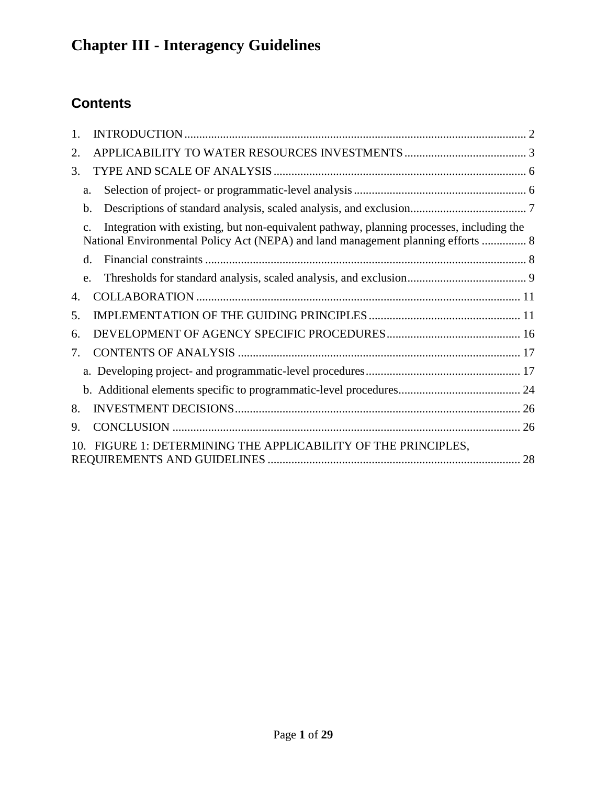## **Contents**

| 1.              |                                                                                                                                                                                                 |  |
|-----------------|-------------------------------------------------------------------------------------------------------------------------------------------------------------------------------------------------|--|
| 2.              |                                                                                                                                                                                                 |  |
| 3.              |                                                                                                                                                                                                 |  |
|                 | a.                                                                                                                                                                                              |  |
|                 | b.                                                                                                                                                                                              |  |
|                 | Integration with existing, but non-equivalent pathway, planning processes, including the<br>$\mathcal{C}$ .<br>National Environmental Policy Act (NEPA) and land management planning efforts  8 |  |
|                 | d.                                                                                                                                                                                              |  |
|                 | e.                                                                                                                                                                                              |  |
| 4.              |                                                                                                                                                                                                 |  |
| 5.              |                                                                                                                                                                                                 |  |
| 6.              |                                                                                                                                                                                                 |  |
| 7.              |                                                                                                                                                                                                 |  |
|                 |                                                                                                                                                                                                 |  |
|                 |                                                                                                                                                                                                 |  |
| 8.              |                                                                                                                                                                                                 |  |
| 9.              |                                                                                                                                                                                                 |  |
| 10 <sup>1</sup> | FIGURE 1: DETERMINING THE APPLICABILITY OF THE PRINCIPLES,                                                                                                                                      |  |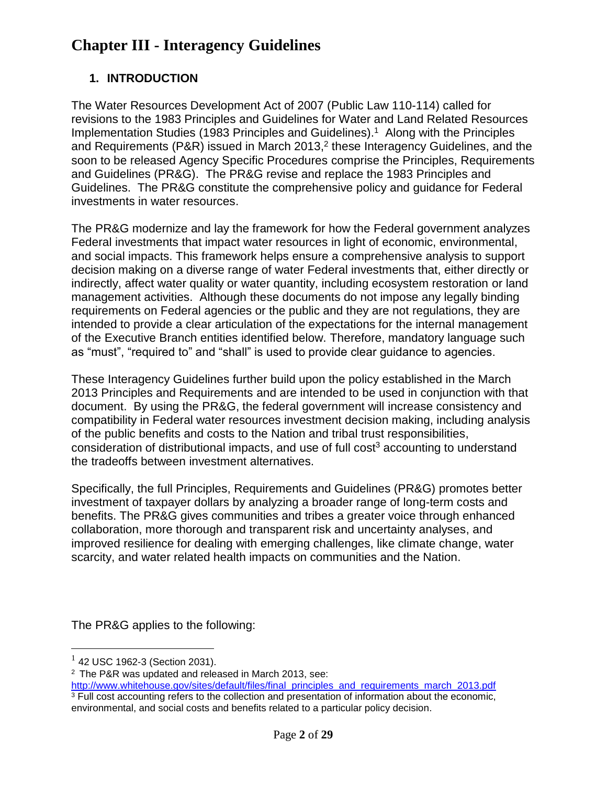## <span id="page-23-0"></span>**1. INTRODUCTION**

The Water Resources Development Act of 2007 (Public Law 110-114) called for revisions to the 1983 Principles and Guidelines for Water and Land Related Resources Implementation Studies (1983 Principles and Guidelines). 1 Along with the Principles and Requirements (P&R) issued in March 2013,<sup>2</sup> these Interagency Guidelines, and the soon to be released Agency Specific Procedures comprise the Principles, Requirements and Guidelines (PR&G). The PR&G revise and replace the 1983 Principles and Guidelines. The PR&G constitute the comprehensive policy and guidance for Federal investments in water resources.

The PR&G modernize and lay the framework for how the Federal government analyzes Federal investments that impact water resources in light of economic, environmental, and social impacts. This framework helps ensure a comprehensive analysis to support decision making on a diverse range of water Federal investments that, either directly or indirectly, affect water quality or water quantity, including ecosystem restoration or land management activities. Although these documents do not impose any legally binding requirements on Federal agencies or the public and they are not regulations, they are intended to provide a clear articulation of the expectations for the internal management of the Executive Branch entities identified below. Therefore, mandatory language such as "must", "required to" and "shall" is used to provide clear guidance to agencies.

These Interagency Guidelines further build upon the policy established in the March 2013 Principles and Requirements and are intended to be used in conjunction with that document. By using the PR&G, the federal government will increase consistency and compatibility in Federal water resources investment decision making, including analysis of the public benefits and costs to the Nation and tribal trust responsibilities, consideration of distributional impacts, and use of full cost<sup>3</sup> accounting to understand the tradeoffs between investment alternatives.

Specifically, the full Principles, Requirements and Guidelines (PR&G) promotes better investment of taxpayer dollars by analyzing a broader range of long-term costs and benefits. The PR&G gives communities and tribes a greater voice through enhanced collaboration, more thorough and transparent risk and uncertainty analyses, and improved resilience for dealing with emerging challenges, like climate change, water scarcity, and water related health impacts on communities and the Nation.

The PR&G applies to the following:

 $\overline{a}$ 

 $1$  42 USC 1962-3 (Section 2031).

<sup>2</sup> The P&R was updated and released in March 2013, see:

[http://www.whitehouse.gov/sites/default/files/final\\_principles\\_and\\_requirements\\_march\\_2013.pdf](http://www.whitehouse.gov/sites/default/files/final_principles_and_requirements_march_2013.pdf)   $3$  Full cost accounting refers to the collection and presentation of information about the economic, environmental, and social costs and benefits related to a particular policy decision.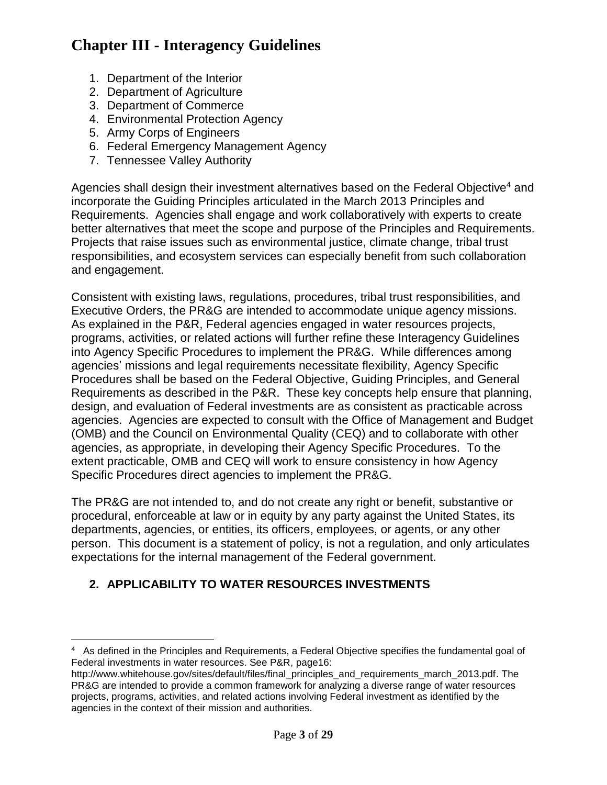- 1. Department of the Interior
- 2. Department of Agriculture
- 3. Department of Commerce
- 4. Environmental Protection Agency
- 5. Army Corps of Engineers
- 6. Federal Emergency Management Agency
- 7. Tennessee Valley Authority

Agencies shall design their investment alternatives based on the Federal Objective<sup>4</sup> and incorporate the Guiding Principles articulated in the March 2013 Principles and Requirements. Agencies shall engage and work collaboratively with experts to create better alternatives that meet the scope and purpose of the Principles and Requirements. Projects that raise issues such as environmental justice, climate change, tribal trust responsibilities, and ecosystem services can especially benefit from such collaboration and engagement.

Consistent with existing laws, regulations, procedures, tribal trust responsibilities, and Executive Orders, the PR&G are intended to accommodate unique agency missions. As explained in the P&R, Federal agencies engaged in water resources projects, programs, activities, or related actions will further refine these Interagency Guidelines into Agency Specific Procedures to implement the PR&G. While differences among agencies' missions and legal requirements necessitate flexibility, Agency Specific Procedures shall be based on the Federal Objective, Guiding Principles, and General Requirements as described in the P&R. These key concepts help ensure that planning, design, and evaluation of Federal investments are as consistent as practicable across agencies. Agencies are expected to consult with the Office of Management and Budget (OMB) and the Council on Environmental Quality (CEQ) and to collaborate with other agencies, as appropriate, in developing their Agency Specific Procedures. To the extent practicable, OMB and CEQ will work to ensure consistency in how Agency Specific Procedures direct agencies to implement the PR&G.

The PR&G are not intended to, and do not create any right or benefit, substantive or procedural, enforceable at law or in equity by any party against the United States, its departments, agencies, or entities, its officers, employees, or agents, or any other person. This document is a statement of policy, is not a regulation, and only articulates expectations for the internal management of the Federal government.

## <span id="page-24-0"></span>**2. APPLICABILITY TO WATER RESOURCES INVESTMENTS**

 $\overline{a}$ 4 As defined in the Principles and Requirements, a Federal Objective specifies the fundamental goal of Federal investments in water resources. See P&R, page16:

http://www.whitehouse.gov/sites/default/files/final\_principles\_and\_requirements\_march\_2013.pdf. The PR&G are intended to provide a common framework for analyzing a diverse range of water resources projects, programs, activities, and related actions involving Federal investment as identified by the agencies in the context of their mission and authorities.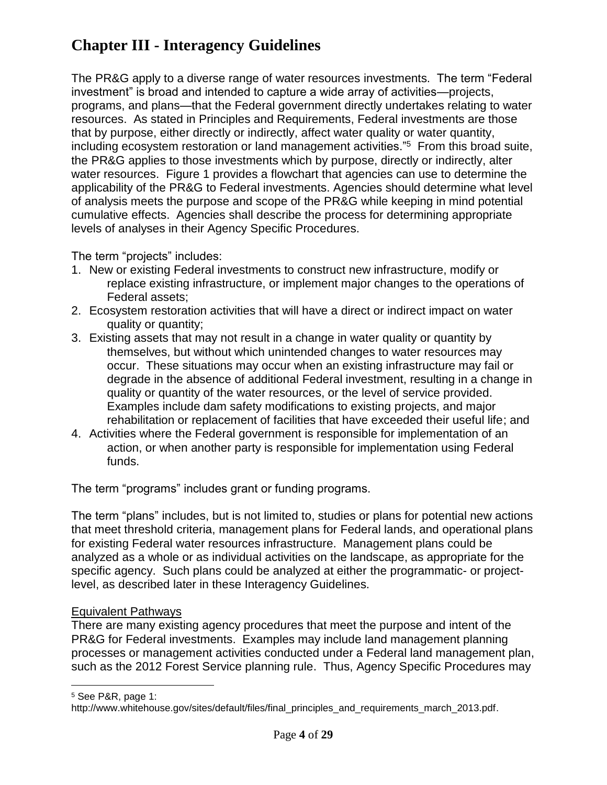The PR&G apply to a diverse range of water resources investments. The term "Federal investment" is broad and intended to capture a wide array of activities—projects, programs, and plans—that the Federal government directly undertakes relating to water resources. As stated in Principles and Requirements, Federal investments are those that by purpose, either directly or indirectly, affect water quality or water quantity, including ecosystem restoration or land management activities."<sup>5</sup> From this broad suite, the PR&G applies to those investments which by purpose, directly or indirectly, alter water resources. Figure 1 provides a flowchart that agencies can use to determine the applicability of the PR&G to Federal investments. Agencies should determine what level of analysis meets the purpose and scope of the PR&G while keeping in mind potential cumulative effects. Agencies shall describe the process for determining appropriate levels of analyses in their Agency Specific Procedures.

The term "projects" includes:

- 1. New or existing Federal investments to construct new infrastructure, modify or replace existing infrastructure, or implement major changes to the operations of Federal assets;
- 2. Ecosystem restoration activities that will have a direct or indirect impact on water quality or quantity;
- 3. Existing assets that may not result in a change in water quality or quantity by themselves, but without which unintended changes to water resources may occur. These situations may occur when an existing infrastructure may fail or degrade in the absence of additional Federal investment, resulting in a change in quality or quantity of the water resources, or the level of service provided. Examples include dam safety modifications to existing projects, and major rehabilitation or replacement of facilities that have exceeded their useful life; and
- 4. Activities where the Federal government is responsible for implementation of an action, or when another party is responsible for implementation using Federal funds.

The term "programs" includes grant or funding programs.

The term "plans" includes, but is not limited to, studies or plans for potential new actions that meet threshold criteria, management plans for Federal lands, and operational plans for existing Federal water resources infrastructure. Management plans could be analyzed as a whole or as individual activities on the landscape, as appropriate for the specific agency. Such plans could be analyzed at either the programmatic- or projectlevel, as described later in these Interagency Guidelines.

#### Equivalent Pathways

There are many existing agency procedures that meet the purpose and intent of the PR&G for Federal investments. Examples may include land management planning processes or management activities conducted under a Federal land management plan, such as the 2012 Forest Service planning rule. Thus, Agency Specific Procedures may

 $\overline{a}$ 

<sup>5</sup> See P&R, page 1:

http://www.whitehouse.gov/sites/default/files/final\_principles\_and\_requirements\_march\_2013.pdf.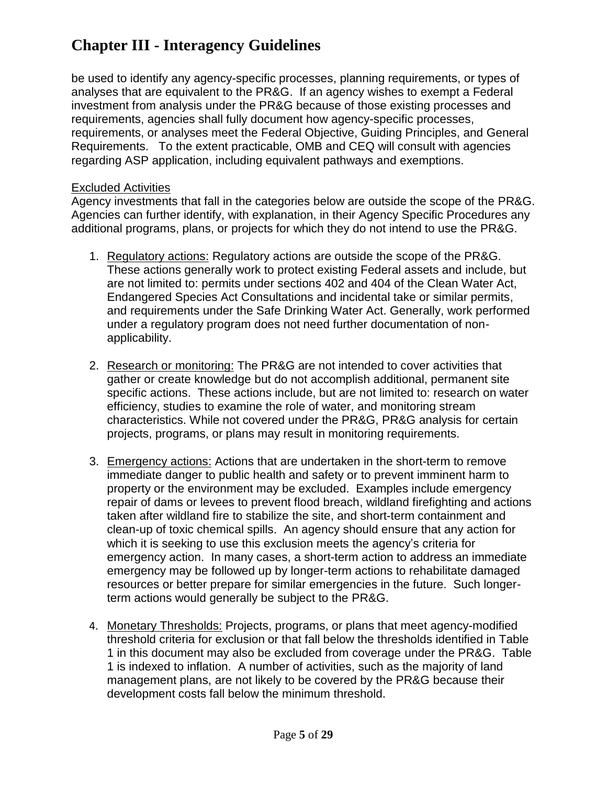be used to identify any agency-specific processes, planning requirements, or types of analyses that are equivalent to the PR&G. If an agency wishes to exempt a Federal investment from analysis under the PR&G because of those existing processes and requirements, agencies shall fully document how agency-specific processes, requirements, or analyses meet the Federal Objective, Guiding Principles, and General Requirements. To the extent practicable, OMB and CEQ will consult with agencies regarding ASP application, including equivalent pathways and exemptions.

#### Excluded Activities

Agency investments that fall in the categories below are outside the scope of the PR&G. Agencies can further identify, with explanation, in their Agency Specific Procedures any additional programs, plans, or projects for which they do not intend to use the PR&G.

- 1. Regulatory actions: Regulatory actions are outside the scope of the PR&G. These actions generally work to protect existing Federal assets and include, but are not limited to: permits under sections 402 and 404 of the Clean Water Act, Endangered Species Act Consultations and incidental take or similar permits, and requirements under the Safe Drinking Water Act. Generally, work performed under a regulatory program does not need further documentation of nonapplicability.
- 2. Research or monitoring: The PR&G are not intended to cover activities that gather or create knowledge but do not accomplish additional, permanent site specific actions. These actions include, but are not limited to: research on water efficiency, studies to examine the role of water, and monitoring stream characteristics. While not covered under the PR&G, PR&G analysis for certain projects, programs, or plans may result in monitoring requirements.
- 3. Emergency actions: Actions that are undertaken in the short-term to remove immediate danger to public health and safety or to prevent imminent harm to property or the environment may be excluded. Examples include emergency repair of dams or levees to prevent flood breach, wildland firefighting and actions taken after wildland fire to stabilize the site, and short-term containment and clean-up of toxic chemical spills. An agency should ensure that any action for which it is seeking to use this exclusion meets the agency's criteria for emergency action. In many cases, a short-term action to address an immediate emergency may be followed up by longer-term actions to rehabilitate damaged resources or better prepare for similar emergencies in the future. Such longerterm actions would generally be subject to the PR&G.
- 4. Monetary Thresholds: Projects, programs, or plans that meet agency-modified threshold criteria for exclusion or that fall below the thresholds identified in Table 1 in this document may also be excluded from coverage under the PR&G. Table 1 is indexed to inflation. A number of activities, such as the majority of land management plans, are not likely to be covered by the PR&G because their development costs fall below the minimum threshold.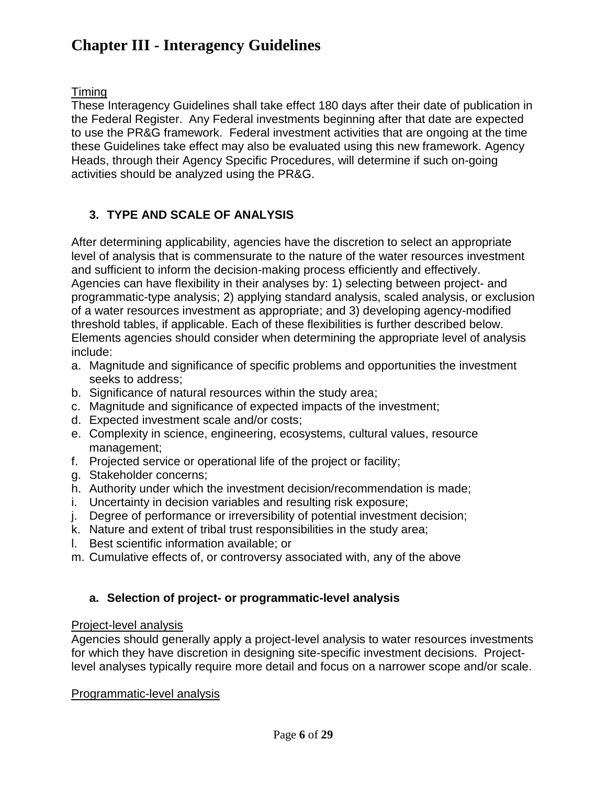Timing

These Interagency Guidelines shall take effect 180 days after their date of publication in the Federal Register. Any Federal investments beginning after that date are expected to use the PR&G framework. Federal investment activities that are ongoing at the time these Guidelines take effect may also be evaluated using this new framework. Agency Heads, through their Agency Specific Procedures, will determine if such on-going activities should be analyzed using the PR&G.

## <span id="page-27-0"></span>**3. TYPE AND SCALE OF ANALYSIS**

After determining applicability, agencies have the discretion to select an appropriate level of analysis that is commensurate to the nature of the water resources investment and sufficient to inform the decision-making process efficiently and effectively. Agencies can have flexibility in their analyses by: 1) selecting between project- and programmatic-type analysis; 2) applying standard analysis, scaled analysis, or exclusion of a water resources investment as appropriate; and 3) developing agency-modified threshold tables, if applicable. Each of these flexibilities is further described below. Elements agencies should consider when determining the appropriate level of analysis include:

- a. Magnitude and significance of specific problems and opportunities the investment seeks to address;
- b. Significance of natural resources within the study area;
- c. Magnitude and significance of expected impacts of the investment;
- d. Expected investment scale and/or costs;
- e. Complexity in science, engineering, ecosystems, cultural values, resource management;
- f. Projected service or operational life of the project or facility;
- g. Stakeholder concerns;
- h. Authority under which the investment decision/recommendation is made;
- i. Uncertainty in decision variables and resulting risk exposure;
- j. Degree of performance or irreversibility of potential investment decision;
- k. Nature and extent of tribal trust responsibilities in the study area;
- l. Best scientific information available; or
- m. Cumulative effects of, or controversy associated with, any of the above

#### <span id="page-27-1"></span>**a. Selection of project- or programmatic-level analysis**

#### Project-level analysis

Agencies should generally apply a project-level analysis to water resources investments for which they have discretion in designing site-specific investment decisions. Projectlevel analyses typically require more detail and focus on a narrower scope and/or scale.

Programmatic-level analysis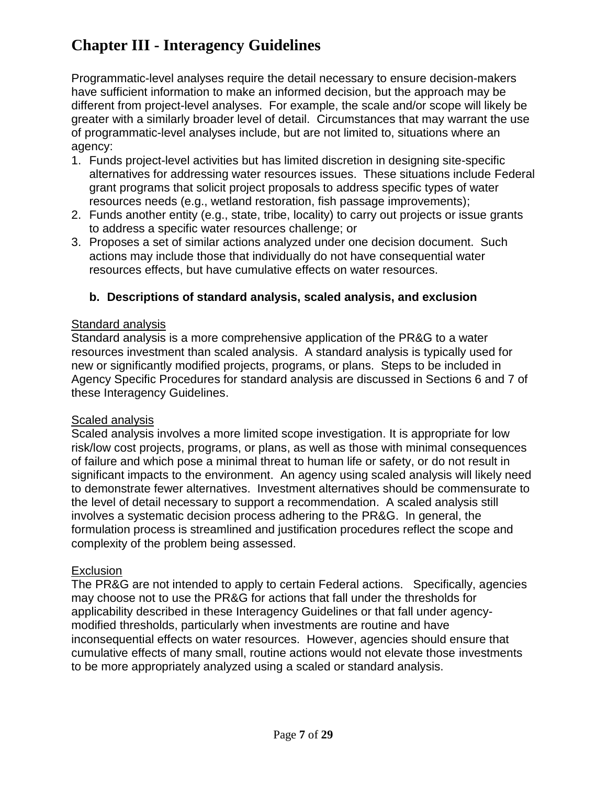Programmatic-level analyses require the detail necessary to ensure decision-makers have sufficient information to make an informed decision, but the approach may be different from project-level analyses. For example, the scale and/or scope will likely be greater with a similarly broader level of detail. Circumstances that may warrant the use of programmatic-level analyses include, but are not limited to, situations where an agency:

- 1. Funds project-level activities but has limited discretion in designing site-specific alternatives for addressing water resources issues. These situations include Federal grant programs that solicit project proposals to address specific types of water resources needs (e.g., wetland restoration, fish passage improvements);
- 2. Funds another entity (e.g., state, tribe, locality) to carry out projects or issue grants to address a specific water resources challenge; or
- 3. Proposes a set of similar actions analyzed under one decision document. Such actions may include those that individually do not have consequential water resources effects, but have cumulative effects on water resources.

### <span id="page-28-0"></span>**b. Descriptions of standard analysis, scaled analysis, and exclusion**

#### Standard analysis

Standard analysis is a more comprehensive application of the PR&G to a water resources investment than scaled analysis. A standard analysis is typically used for new or significantly modified projects, programs, or plans. Steps to be included in Agency Specific Procedures for standard analysis are discussed in Sections 6 and 7 of these Interagency Guidelines.

#### **Scaled analysis**

Scaled analysis involves a more limited scope investigation. It is appropriate for low risk/low cost projects, programs, or plans, as well as those with minimal consequences of failure and which pose a minimal threat to human life or safety, or do not result in significant impacts to the environment. An agency using scaled analysis will likely need to demonstrate fewer alternatives. Investment alternatives should be commensurate to the level of detail necessary to support a recommendation. A scaled analysis still involves a systematic decision process adhering to the PR&G. In general, the formulation process is streamlined and justification procedures reflect the scope and complexity of the problem being assessed.

#### Exclusion

The PR&G are not intended to apply to certain Federal actions. Specifically, agencies may choose not to use the PR&G for actions that fall under the thresholds for applicability described in these Interagency Guidelines or that fall under agencymodified thresholds, particularly when investments are routine and have inconsequential effects on water resources. However, agencies should ensure that cumulative effects of many small, routine actions would not elevate those investments to be more appropriately analyzed using a scaled or standard analysis.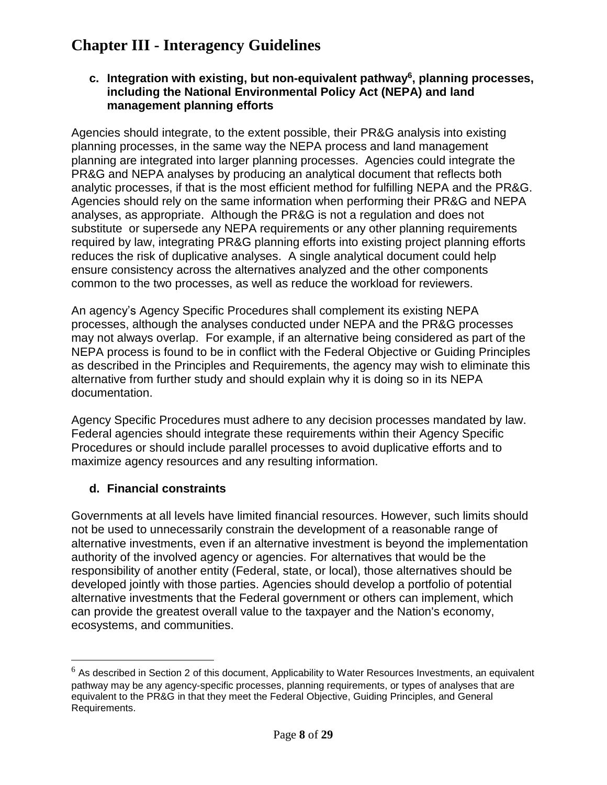#### <span id="page-29-0"></span>**c. Integration with existing, but non-equivalent pathway<sup>6</sup> , planning processes, including the National Environmental Policy Act (NEPA) and land management planning efforts**

Agencies should integrate, to the extent possible, their PR&G analysis into existing planning processes, in the same way the NEPA process and land management planning are integrated into larger planning processes. Agencies could integrate the PR&G and NEPA analyses by producing an analytical document that reflects both analytic processes, if that is the most efficient method for fulfilling NEPA and the PR&G. Agencies should rely on the same information when performing their PR&G and NEPA analyses, as appropriate. Although the PR&G is not a regulation and does not substitute or supersede any NEPA requirements or any other planning requirements required by law, integrating PR&G planning efforts into existing project planning efforts reduces the risk of duplicative analyses. A single analytical document could help ensure consistency across the alternatives analyzed and the other components common to the two processes, as well as reduce the workload for reviewers.

An agency's Agency Specific Procedures shall complement its existing NEPA processes, although the analyses conducted under NEPA and the PR&G processes may not always overlap. For example, if an alternative being considered as part of the NEPA process is found to be in conflict with the Federal Objective or Guiding Principles as described in the Principles and Requirements, the agency may wish to eliminate this alternative from further study and should explain why it is doing so in its NEPA documentation.

Agency Specific Procedures must adhere to any decision processes mandated by law. Federal agencies should integrate these requirements within their Agency Specific Procedures or should include parallel processes to avoid duplicative efforts and to maximize agency resources and any resulting information.

### <span id="page-29-1"></span>**d. Financial constraints**

 $\overline{a}$ 

Governments at all levels have limited financial resources. However, such limits should not be used to unnecessarily constrain the development of a reasonable range of alternative investments, even if an alternative investment is beyond the implementation authority of the involved agency or agencies. For alternatives that would be the responsibility of another entity (Federal, state, or local), those alternatives should be developed jointly with those parties. Agencies should develop a portfolio of potential alternative investments that the Federal government or others can implement, which can provide the greatest overall value to the taxpayer and the Nation's economy, ecosystems, and communities.

 $6$  As described in Section 2 of this document, Applicability to Water Resources Investments, an equivalent pathway may be any agency-specific processes, planning requirements, or types of analyses that are equivalent to the PR&G in that they meet the Federal Objective, Guiding Principles, and General Requirements.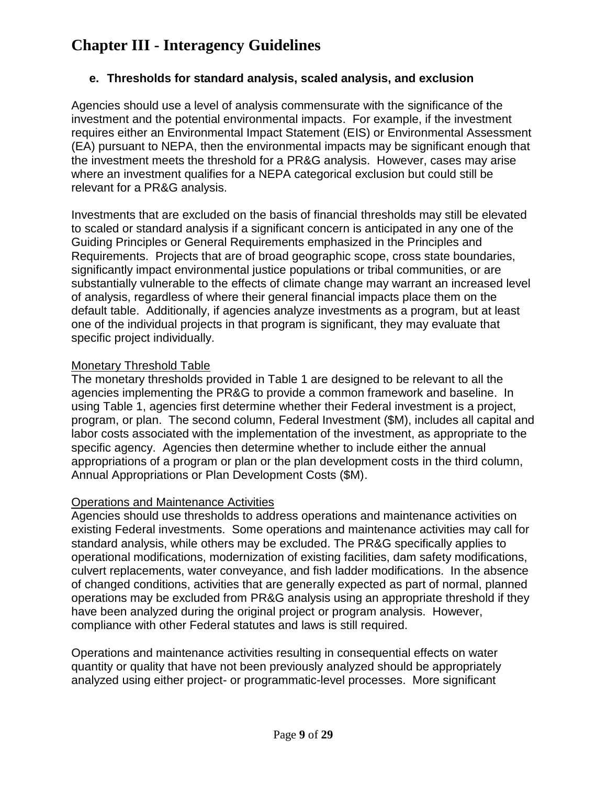#### <span id="page-30-0"></span>**e. Thresholds for standard analysis, scaled analysis, and exclusion**

Agencies should use a level of analysis commensurate with the significance of the investment and the potential environmental impacts. For example, if the investment requires either an Environmental Impact Statement (EIS) or Environmental Assessment (EA) pursuant to NEPA, then the environmental impacts may be significant enough that the investment meets the threshold for a PR&G analysis. However, cases may arise where an investment qualifies for a NEPA categorical exclusion but could still be relevant for a PR&G analysis.

Investments that are excluded on the basis of financial thresholds may still be elevated to scaled or standard analysis if a significant concern is anticipated in any one of the Guiding Principles or General Requirements emphasized in the Principles and Requirements. Projects that are of broad geographic scope, cross state boundaries, significantly impact environmental justice populations or tribal communities, or are substantially vulnerable to the effects of climate change may warrant an increased level of analysis, regardless of where their general financial impacts place them on the default table. Additionally, if agencies analyze investments as a program, but at least one of the individual projects in that program is significant, they may evaluate that specific project individually.

#### Monetary Threshold Table

The monetary thresholds provided in Table 1 are designed to be relevant to all the agencies implementing the PR&G to provide a common framework and baseline. In using Table 1, agencies first determine whether their Federal investment is a project, program, or plan. The second column, Federal Investment (\$M), includes all capital and labor costs associated with the implementation of the investment, as appropriate to the specific agency. Agencies then determine whether to include either the annual appropriations of a program or plan or the plan development costs in the third column, Annual Appropriations or Plan Development Costs (\$M).

#### Operations and Maintenance Activities

Agencies should use thresholds to address operations and maintenance activities on existing Federal investments. Some operations and maintenance activities may call for standard analysis, while others may be excluded. The PR&G specifically applies to operational modifications, modernization of existing facilities, dam safety modifications, culvert replacements, water conveyance, and fish ladder modifications. In the absence of changed conditions, activities that are generally expected as part of normal, planned operations may be excluded from PR&G analysis using an appropriate threshold if they have been analyzed during the original project or program analysis. However, compliance with other Federal statutes and laws is still required.

Operations and maintenance activities resulting in consequential effects on water quantity or quality that have not been previously analyzed should be appropriately analyzed using either project- or programmatic-level processes. More significant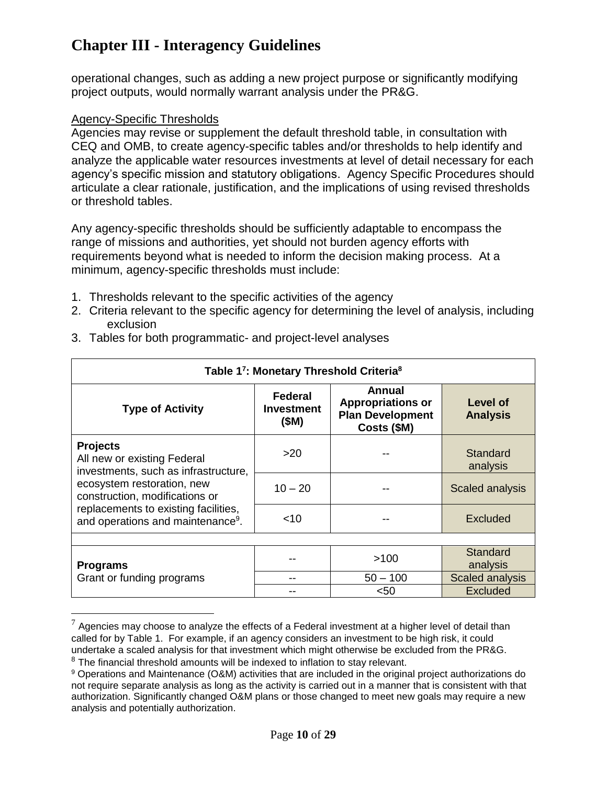operational changes, such as adding a new project purpose or significantly modifying project outputs, would normally warrant analysis under the PR&G.

#### Agency-Specific Thresholds

 $\overline{a}$ 

Agencies may revise or supplement the default threshold table, in consultation with CEQ and OMB, to create agency-specific tables and/or thresholds to help identify and analyze the applicable water resources investments at level of detail necessary for each agency's specific mission and statutory obligations. Agency Specific Procedures should articulate a clear rationale, justification, and the implications of using revised thresholds or threshold tables.

Any agency-specific thresholds should be sufficiently adaptable to encompass the range of missions and authorities, yet should not burden agency efforts with requirements beyond what is needed to inform the decision making process. At a minimum, agency-specific thresholds must include:

- 1. Thresholds relevant to the specific activities of the agency
- 2. Criteria relevant to the specific agency for determining the level of analysis, including exclusion

| Table 17: Monetary Threshold Criteria <sup>8</sup>                                     |                               |                                                                              |                             |  |  |  |
|----------------------------------------------------------------------------------------|-------------------------------|------------------------------------------------------------------------------|-----------------------------|--|--|--|
| <b>Type of Activity</b>                                                                | Federal<br>Investment<br>(SM) | Annual<br><b>Appropriations or</b><br><b>Plan Development</b><br>Costs (\$M) | Level of<br><b>Analysis</b> |  |  |  |
| <b>Projects</b><br>All new or existing Federal<br>investments, such as infrastructure, | >20                           |                                                                              | Standard<br>analysis        |  |  |  |
| ecosystem restoration, new<br>construction, modifications or                           | $10 - 20$                     |                                                                              | Scaled analysis             |  |  |  |
| replacements to existing facilities,<br>and operations and maintenance <sup>9</sup> .  | $<$ 10                        |                                                                              | <b>Excluded</b>             |  |  |  |
|                                                                                        |                               |                                                                              |                             |  |  |  |
| <b>Programs</b>                                                                        |                               | >100                                                                         | Standard<br>analysis        |  |  |  |
| Grant or funding programs                                                              |                               | $50 - 100$                                                                   | <b>Scaled analysis</b>      |  |  |  |
|                                                                                        |                               | $50$                                                                         | <b>Excluded</b>             |  |  |  |

3. Tables for both programmatic- and project-level analyses

 $7$  Agencies may choose to analyze the effects of a Federal investment at a higher level of detail than called for by Table 1. For example, if an agency considers an investment to be high risk, it could undertake a scaled analysis for that investment which might otherwise be excluded from the PR&G. <sup>8</sup> The financial threshold amounts will be indexed to inflation to stay relevant.

<sup>9</sup> Operations and Maintenance (O&M) activities that are included in the original project authorizations do not require separate analysis as long as the activity is carried out in a manner that is consistent with that authorization. Significantly changed O&M plans or those changed to meet new goals may require a new analysis and potentially authorization.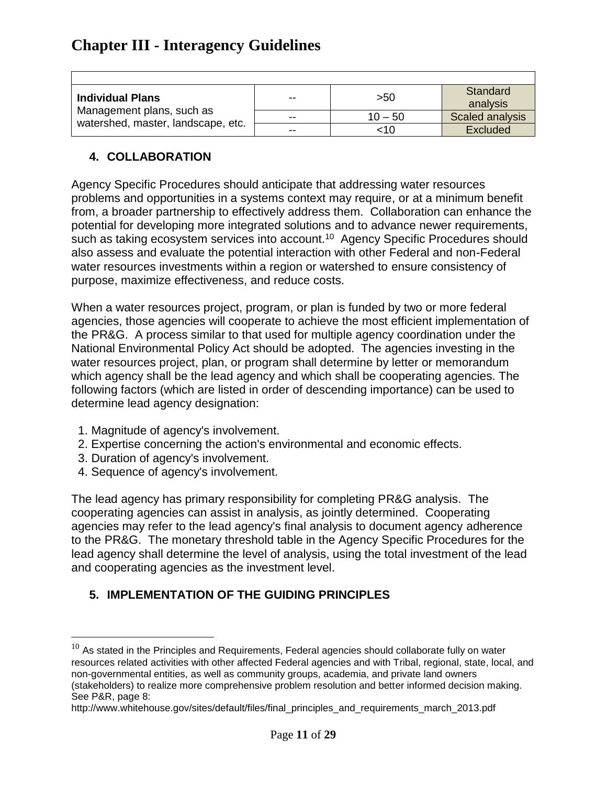| <b>Individual Plans</b>                                         | $- -$ | >50       | Standard<br>analysis   |
|-----------------------------------------------------------------|-------|-----------|------------------------|
| Management plans, such as<br>watershed, master, landscape, etc. | $-$   | $10 - 50$ | <b>Scaled analysis</b> |
|                                                                 | --    | <10       | Excluded               |

### <span id="page-32-0"></span>**4. COLLABORATION**

 $\overline{1}$ 

Agency Specific Procedures should anticipate that addressing water resources problems and opportunities in a systems context may require, or at a minimum benefit from, a broader partnership to effectively address them. Collaboration can enhance the potential for developing more integrated solutions and to advance newer requirements, such as taking ecosystem services into account.<sup>10</sup> Agency Specific Procedures should also assess and evaluate the potential interaction with other Federal and non-Federal water resources investments within a region or watershed to ensure consistency of purpose, maximize effectiveness, and reduce costs.

When a water resources project, program, or plan is funded by two or more federal agencies, those agencies will cooperate to achieve the most efficient implementation of the PR&G. A process similar to that used for multiple agency coordination under the National Environmental Policy Act should be adopted. The agencies investing in the water resources project, plan, or program shall determine by letter or memorandum which agency shall be the lead agency and which shall be cooperating agencies. The following factors (which are listed in order of descending importance) can be used to determine lead agency designation:

- 1. Magnitude of agency's involvement.
- 2. Expertise concerning the action's environmental and economic effects.
- 3. Duration of agency's involvement.

 $\overline{a}$ 

4. Sequence of agency's involvement.

The lead agency has primary responsibility for completing PR&G analysis. The cooperating agencies can assist in analysis, as jointly determined. Cooperating agencies may refer to the lead agency's final analysis to document agency adherence to the PR&G. The monetary threshold table in the Agency Specific Procedures for the lead agency shall determine the level of analysis, using the total investment of the lead and cooperating agencies as the investment level.

## <span id="page-32-1"></span>**5. IMPLEMENTATION OF THE GUIDING PRINCIPLES**

http://www.whitehouse.gov/sites/default/files/final\_principles\_and\_requirements\_march\_2013.pdf

 $10$  As stated in the Principles and Requirements, Federal agencies should collaborate fully on water resources related activities with other affected Federal agencies and with Tribal, regional, state, local, and non-governmental entities, as well as community groups, academia, and private land owners (stakeholders) to realize more comprehensive problem resolution and better informed decision making. See P&R, page 8: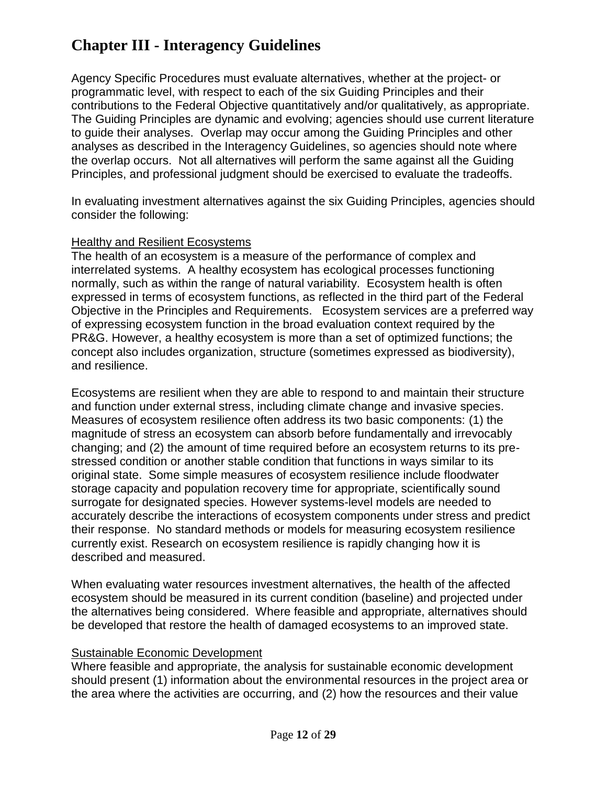Agency Specific Procedures must evaluate alternatives, whether at the project- or programmatic level, with respect to each of the six Guiding Principles and their contributions to the Federal Objective quantitatively and/or qualitatively, as appropriate. The Guiding Principles are dynamic and evolving; agencies should use current literature to guide their analyses. Overlap may occur among the Guiding Principles and other analyses as described in the Interagency Guidelines, so agencies should note where the overlap occurs. Not all alternatives will perform the same against all the Guiding Principles, and professional judgment should be exercised to evaluate the tradeoffs.

In evaluating investment alternatives against the six Guiding Principles, agencies should consider the following:

#### Healthy and Resilient Ecosystems

The health of an ecosystem is a measure of the performance of complex and interrelated systems. A healthy ecosystem has ecological processes functioning normally, such as within the range of natural variability. Ecosystem health is often expressed in terms of ecosystem functions, as reflected in the third part of the Federal Objective in the Principles and Requirements. Ecosystem services are a preferred way of expressing ecosystem function in the broad evaluation context required by the PR&G. However, a healthy ecosystem is more than a set of optimized functions; the concept also includes organization, structure (sometimes expressed as biodiversity), and resilience.

Ecosystems are resilient when they are able to respond to and maintain their structure and function under external stress, including climate change and invasive species. Measures of ecosystem resilience often address its two basic components: (1) the magnitude of stress an ecosystem can absorb before fundamentally and irrevocably changing; and (2) the amount of time required before an ecosystem returns to its prestressed condition or another stable condition that functions in ways similar to its original state. Some simple measures of ecosystem resilience include floodwater storage capacity and population recovery time for appropriate, scientifically sound surrogate for designated species. However systems-level models are needed to accurately describe the interactions of ecosystem components under stress and predict their response. No standard methods or models for measuring ecosystem resilience currently exist. Research on ecosystem resilience is rapidly changing how it is described and measured.

When evaluating water resources investment alternatives, the health of the affected ecosystem should be measured in its current condition (baseline) and projected under the alternatives being considered. Where feasible and appropriate, alternatives should be developed that restore the health of damaged ecosystems to an improved state.

### Sustainable Economic Development

Where feasible and appropriate, the analysis for sustainable economic development should present (1) information about the environmental resources in the project area or the area where the activities are occurring, and (2) how the resources and their value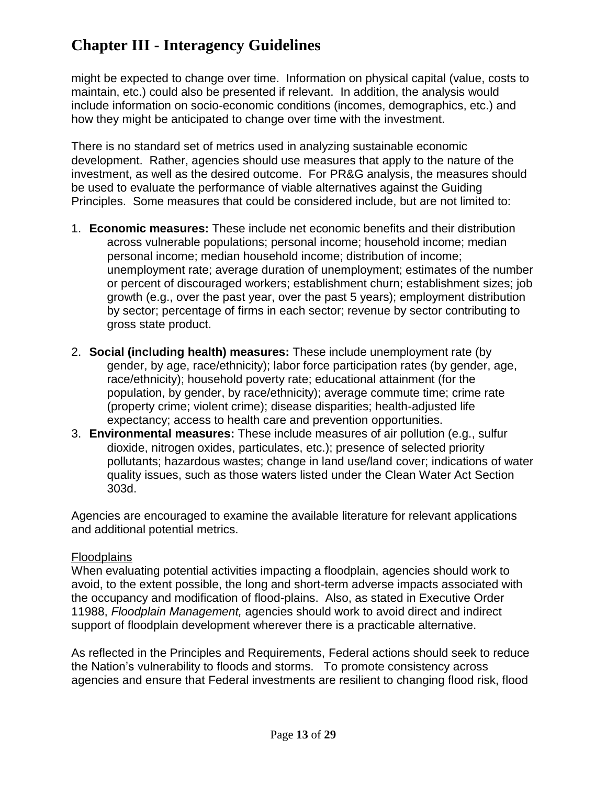might be expected to change over time. Information on physical capital (value, costs to maintain, etc.) could also be presented if relevant. In addition, the analysis would include information on socio-economic conditions (incomes, demographics, etc.) and how they might be anticipated to change over time with the investment.

There is no standard set of metrics used in analyzing sustainable economic development. Rather, agencies should use measures that apply to the nature of the investment, as well as the desired outcome. For PR&G analysis, the measures should be used to evaluate the performance of viable alternatives against the Guiding Principles. Some measures that could be considered include, but are not limited to:

- 1. **Economic measures:** These include net economic benefits and their distribution across vulnerable populations; personal income; household income; median personal income; median household income; distribution of income; unemployment rate; average duration of unemployment; estimates of the number or percent of discouraged workers; establishment churn; establishment sizes; job growth (e.g., over the past year, over the past 5 years); employment distribution by sector; percentage of firms in each sector; revenue by sector contributing to gross state product.
- 2. **Social (including health) measures:** These include unemployment rate (by gender, by age, race/ethnicity); labor force participation rates (by gender, age, race/ethnicity); household poverty rate; educational attainment (for the population, by gender, by race/ethnicity); average commute time; crime rate (property crime; violent crime); disease disparities; health-adjusted life expectancy; access to health care and prevention opportunities.
- 3. **Environmental measures:** These include measures of air pollution (e.g., sulfur dioxide, nitrogen oxides, particulates, etc.); presence of selected priority pollutants; hazardous wastes; change in land use/land cover; indications of water quality issues, such as those waters listed under the Clean Water Act Section 303d.

Agencies are encouraged to examine the available literature for relevant applications and additional potential metrics.

#### **Floodplains**

When evaluating potential activities impacting a floodplain, agencies should work to avoid, to the extent possible, the long and short-term adverse impacts associated with the occupancy and modification of flood-plains. Also, as stated in Executive Order 11988, *Floodplain Management,* agencies should work to avoid direct and indirect support of floodplain development wherever there is a practicable alternative.

As reflected in the Principles and Requirements, Federal actions should seek to reduce the Nation's vulnerability to floods and storms. To promote consistency across agencies and ensure that Federal investments are resilient to changing flood risk, flood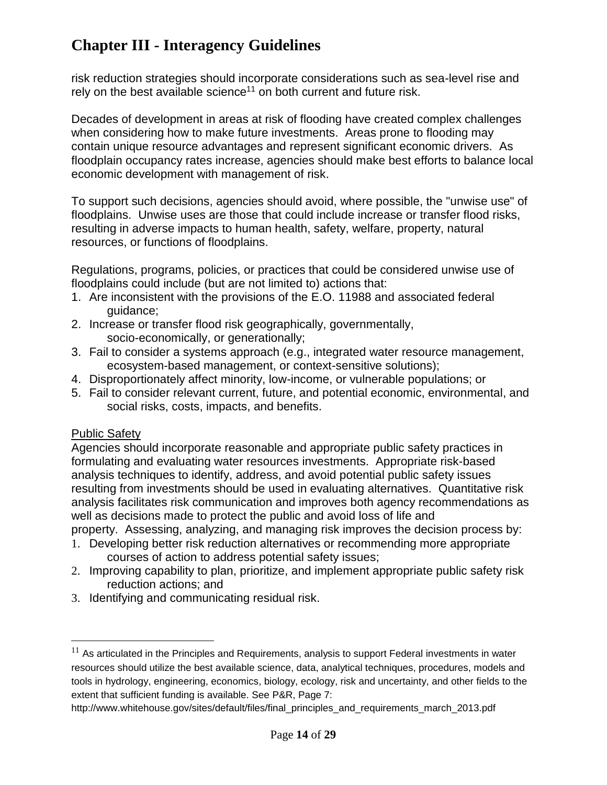risk reduction strategies should incorporate considerations such as sea-level rise and rely on the best available science<sup>11</sup> on both current and future risk.

Decades of development in areas at risk of flooding have created complex challenges when considering how to make future investments. Areas prone to flooding may contain unique resource advantages and represent significant economic drivers. As floodplain occupancy rates increase, agencies should make best efforts to balance local economic development with management of risk.

To support such decisions, agencies should avoid, where possible, the "unwise use" of floodplains. Unwise uses are those that could include increase or transfer flood risks, resulting in adverse impacts to human health, safety, welfare, property, natural resources, or functions of floodplains.

Regulations, programs, policies, or practices that could be considered unwise use of floodplains could include (but are not limited to) actions that:

- 1. Are inconsistent with the provisions of the E.O. 11988 and associated federal guidance;
- 2. Increase or transfer flood risk geographically, governmentally, socio-economically, or generationally;
- 3. Fail to consider a systems approach (e.g., integrated water resource management, ecosystem-based management, or context-sensitive solutions);
- 4. Disproportionately affect minority, low-income, or vulnerable populations; or
- 5. Fail to consider relevant current, future, and potential economic, environmental, and social risks, costs, impacts, and benefits.

## **Public Safety**

 $\overline{a}$ 

Agencies should incorporate reasonable and appropriate public safety practices in formulating and evaluating water resources investments. Appropriate risk-based analysis techniques to identify, address, and avoid potential public safety issues resulting from investments should be used in evaluating alternatives. Quantitative risk analysis facilitates risk communication and improves both agency recommendations as well as decisions made to protect the public and avoid loss of life and property. Assessing, analyzing, and managing risk improves the decision process by:

- 1. Developing better risk reduction alternatives or recommending more appropriate courses of action to address potential safety issues;
- 2. Improving capability to plan, prioritize, and implement appropriate public safety risk reduction actions; and
- 3. Identifying and communicating residual risk.

http://www.whitehouse.gov/sites/default/files/final\_principles\_and\_requirements\_march\_2013.pdf

 $11$  As articulated in the Principles and Requirements, analysis to support Federal investments in water resources should utilize the best available science, data, analytical techniques, procedures, models and tools in hydrology, engineering, economics, biology, ecology, risk and uncertainty, and other fields to the extent that sufficient funding is available. See P&R, Page 7: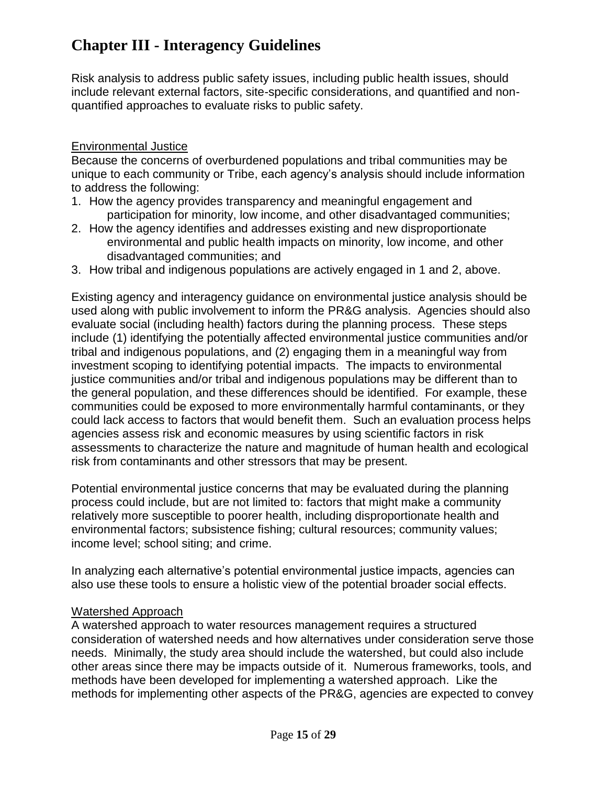Risk analysis to address public safety issues, including public health issues, should include relevant external factors, site-specific considerations, and quantified and nonquantified approaches to evaluate risks to public safety.

#### Environmental Justice

Because the concerns of overburdened populations and tribal communities may be unique to each community or Tribe, each agency's analysis should include information to address the following:

- 1. How the agency provides transparency and meaningful engagement and participation for minority, low income, and other disadvantaged communities;
- 2. How the agency identifies and addresses existing and new disproportionate environmental and public health impacts on minority, low income, and other disadvantaged communities; and
- 3. How tribal and indigenous populations are actively engaged in 1 and 2, above.

Existing agency and interagency guidance on environmental justice analysis should be used along with public involvement to inform the PR&G analysis. Agencies should also evaluate social (including health) factors during the planning process. These steps include (1) identifying the potentially affected environmental justice communities and/or tribal and indigenous populations, and (2) engaging them in a meaningful way from investment scoping to identifying potential impacts. The impacts to environmental justice communities and/or tribal and indigenous populations may be different than to the general population, and these differences should be identified. For example, these communities could be exposed to more environmentally harmful contaminants, or they could lack access to factors that would benefit them. Such an evaluation process helps agencies assess risk and economic measures by using scientific factors in risk assessments to characterize the nature and magnitude of human health and ecological risk from contaminants and other stressors that may be present.

Potential environmental justice concerns that may be evaluated during the planning process could include, but are not limited to: factors that might make a community relatively more susceptible to poorer health, including disproportionate health and environmental factors; subsistence fishing; cultural resources; community values; income level; school siting; and crime.

In analyzing each alternative's potential environmental justice impacts, agencies can also use these tools to ensure a holistic view of the potential broader social effects.

#### Watershed Approach

A watershed approach to water resources management requires a structured consideration of watershed needs and how alternatives under consideration serve those needs. Minimally, the study area should include the watershed, but could also include other areas since there may be impacts outside of it. Numerous frameworks, tools, and methods have been developed for implementing a watershed approach. Like the methods for implementing other aspects of the PR&G, agencies are expected to convey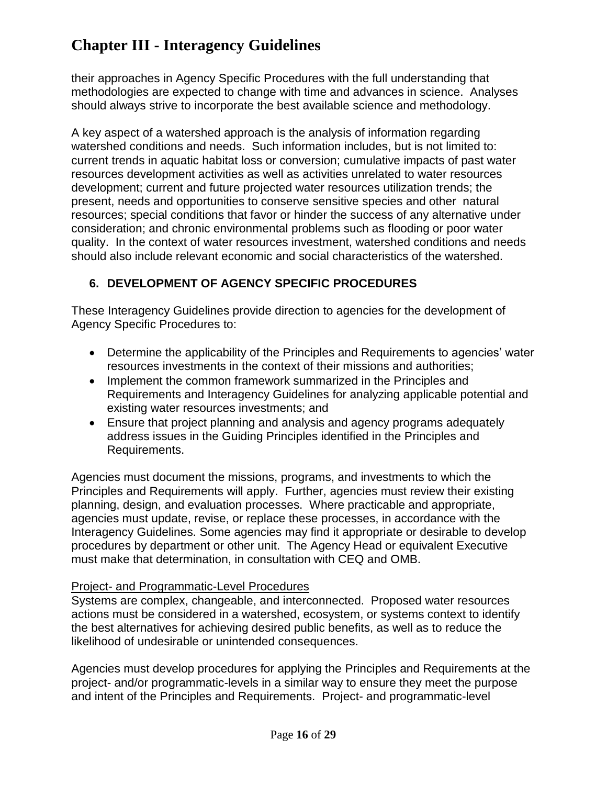their approaches in Agency Specific Procedures with the full understanding that methodologies are expected to change with time and advances in science. Analyses should always strive to incorporate the best available science and methodology.

A key aspect of a watershed approach is the analysis of information regarding watershed conditions and needs. Such information includes, but is not limited to: current trends in aquatic habitat loss or conversion; cumulative impacts of past water resources development activities as well as activities unrelated to water resources development; current and future projected water resources utilization trends; the present, needs and opportunities to conserve sensitive species and other natural resources; special conditions that favor or hinder the success of any alternative under consideration; and chronic environmental problems such as flooding or poor water quality. In the context of water resources investment, watershed conditions and needs should also include relevant economic and social characteristics of the watershed.

## <span id="page-37-0"></span>**6. DEVELOPMENT OF AGENCY SPECIFIC PROCEDURES**

These Interagency Guidelines provide direction to agencies for the development of Agency Specific Procedures to:

- Determine the applicability of the Principles and Requirements to agencies' water resources investments in the context of their missions and authorities;
- Implement the common framework summarized in the Principles and Requirements and Interagency Guidelines for analyzing applicable potential and existing water resources investments; and
- Ensure that project planning and analysis and agency programs adequately address issues in the Guiding Principles identified in the Principles and Requirements.

Agencies must document the missions, programs, and investments to which the Principles and Requirements will apply. Further, agencies must review their existing planning, design, and evaluation processes. Where practicable and appropriate, agencies must update, revise, or replace these processes, in accordance with the Interagency Guidelines. Some agencies may find it appropriate or desirable to develop procedures by department or other unit. The Agency Head or equivalent Executive must make that determination, in consultation with CEQ and OMB.

#### Project- and Programmatic-Level Procedures

Systems are complex, changeable, and interconnected. Proposed water resources actions must be considered in a watershed, ecosystem, or systems context to identify the best alternatives for achieving desired public benefits, as well as to reduce the likelihood of undesirable or unintended consequences.

Agencies must develop procedures for applying the Principles and Requirements at the project- and/or programmatic-levels in a similar way to ensure they meet the purpose and intent of the Principles and Requirements. Project- and programmatic-level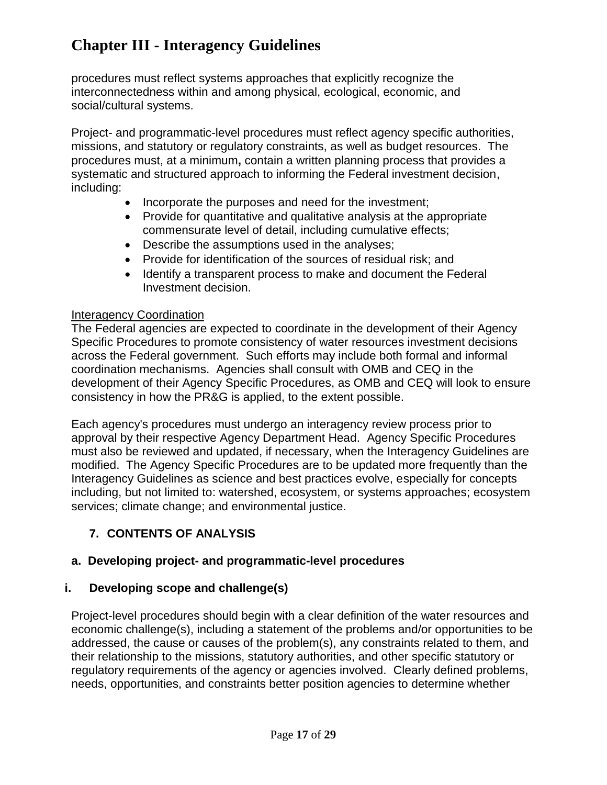procedures must reflect systems approaches that explicitly recognize the interconnectedness within and among physical, ecological, economic, and social/cultural systems.

Project- and programmatic-level procedures must reflect agency specific authorities, missions, and statutory or regulatory constraints, as well as budget resources. The procedures must, at a minimum**,** contain a written planning process that provides a systematic and structured approach to informing the Federal investment decision, including:

- Incorporate the purposes and need for the investment;
- Provide for quantitative and qualitative analysis at the appropriate commensurate level of detail, including cumulative effects;
- Describe the assumptions used in the analyses;
- Provide for identification of the sources of residual risk: and
- Identify a transparent process to make and document the Federal Investment decision.

#### Interagency Coordination

The Federal agencies are expected to coordinate in the development of their Agency Specific Procedures to promote consistency of water resources investment decisions across the Federal government. Such efforts may include both formal and informal coordination mechanisms. Agencies shall consult with OMB and CEQ in the development of their Agency Specific Procedures, as OMB and CEQ will look to ensure consistency in how the PR&G is applied, to the extent possible.

Each agency's procedures must undergo an interagency review process prior to approval by their respective Agency Department Head. Agency Specific Procedures must also be reviewed and updated, if necessary, when the Interagency Guidelines are modified. The Agency Specific Procedures are to be updated more frequently than the Interagency Guidelines as science and best practices evolve, especially for concepts including, but not limited to: watershed, ecosystem, or systems approaches; ecosystem services; climate change; and environmental justice.

## <span id="page-38-0"></span>**7. CONTENTS OF ANALYSIS**

### <span id="page-38-1"></span>**a. Developing project- and programmatic-level procedures**

### **i. Developing scope and challenge(s)**

Project-level procedures should begin with a clear definition of the water resources and economic challenge(s), including a statement of the problems and/or opportunities to be addressed, the cause or causes of the problem(s), any constraints related to them, and their relationship to the missions, statutory authorities, and other specific statutory or regulatory requirements of the agency or agencies involved. Clearly defined problems, needs, opportunities, and constraints better position agencies to determine whether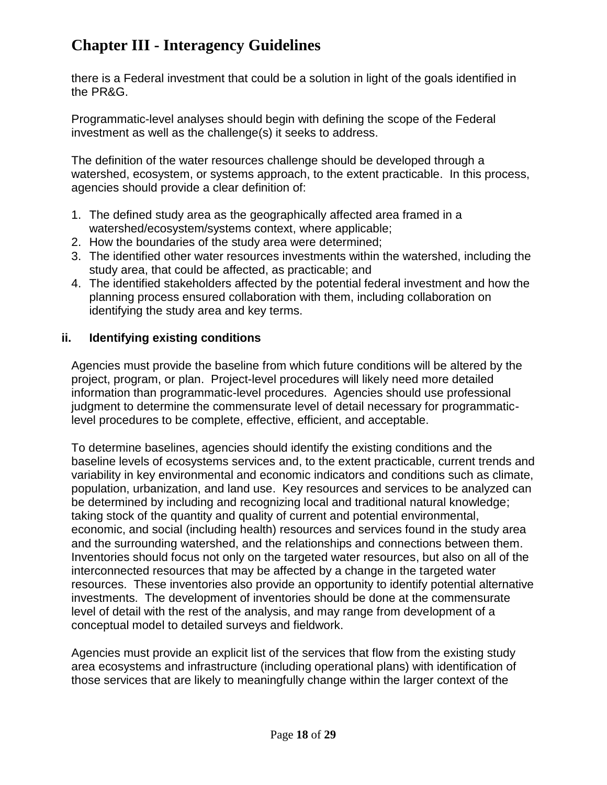there is a Federal investment that could be a solution in light of the goals identified in the PR&G.

Programmatic-level analyses should begin with defining the scope of the Federal investment as well as the challenge(s) it seeks to address.

The definition of the water resources challenge should be developed through a watershed, ecosystem, or systems approach, to the extent practicable. In this process, agencies should provide a clear definition of:

- 1. The defined study area as the geographically affected area framed in a watershed/ecosystem/systems context, where applicable;
- 2. How the boundaries of the study area were determined;
- 3. The identified other water resources investments within the watershed, including the study area, that could be affected, as practicable; and
- 4. The identified stakeholders affected by the potential federal investment and how the planning process ensured collaboration with them, including collaboration on identifying the study area and key terms.

### **ii. Identifying existing conditions**

Agencies must provide the baseline from which future conditions will be altered by the project, program, or plan. Project-level procedures will likely need more detailed information than programmatic-level procedures. Agencies should use professional judgment to determine the commensurate level of detail necessary for programmaticlevel procedures to be complete, effective, efficient, and acceptable.

To determine baselines, agencies should identify the existing conditions and the baseline levels of ecosystems services and, to the extent practicable, current trends and variability in key environmental and economic indicators and conditions such as climate, population, urbanization, and land use. Key resources and services to be analyzed can be determined by including and recognizing local and traditional natural knowledge; taking stock of the quantity and quality of current and potential environmental, economic, and social (including health) resources and services found in the study area and the surrounding watershed, and the relationships and connections between them. Inventories should focus not only on the targeted water resources, but also on all of the interconnected resources that may be affected by a change in the targeted water resources. These inventories also provide an opportunity to identify potential alternative investments. The development of inventories should be done at the commensurate level of detail with the rest of the analysis, and may range from development of a conceptual model to detailed surveys and fieldwork.

Agencies must provide an explicit list of the services that flow from the existing study area ecosystems and infrastructure (including operational plans) with identification of those services that are likely to meaningfully change within the larger context of the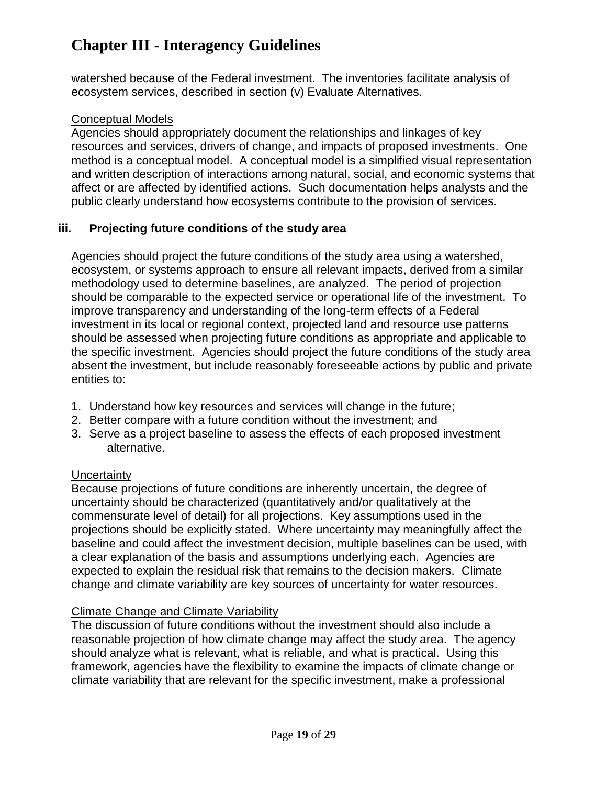watershed because of the Federal investment. The inventories facilitate analysis of ecosystem services, described in section (v) Evaluate Alternatives.

#### Conceptual Models

Agencies should appropriately document the relationships and linkages of key resources and services, drivers of change, and impacts of proposed investments. One method is a conceptual model. A conceptual model is a simplified visual representation and written description of interactions among natural, social, and economic systems that affect or are affected by identified actions. Such documentation helps analysts and the public clearly understand how ecosystems contribute to the provision of services.

#### **iii. Projecting future conditions of the study area**

Agencies should project the future conditions of the study area using a watershed, ecosystem, or systems approach to ensure all relevant impacts, derived from a similar methodology used to determine baselines, are analyzed. The period of projection should be comparable to the expected service or operational life of the investment. To improve transparency and understanding of the long-term effects of a Federal investment in its local or regional context, projected land and resource use patterns should be assessed when projecting future conditions as appropriate and applicable to the specific investment. Agencies should project the future conditions of the study area absent the investment, but include reasonably foreseeable actions by public and private entities to:

- 1. Understand how key resources and services will change in the future;
- 2. Better compare with a future condition without the investment; and
- 3. Serve as a project baseline to assess the effects of each proposed investment alternative.

#### **Uncertainty**

Because projections of future conditions are inherently uncertain, the degree of uncertainty should be characterized (quantitatively and/or qualitatively at the commensurate level of detail) for all projections. Key assumptions used in the projections should be explicitly stated. Where uncertainty may meaningfully affect the baseline and could affect the investment decision, multiple baselines can be used, with a clear explanation of the basis and assumptions underlying each. Agencies are expected to explain the residual risk that remains to the decision makers. Climate change and climate variability are key sources of uncertainty for water resources.

#### Climate Change and Climate Variability

The discussion of future conditions without the investment should also include a reasonable projection of how climate change may affect the study area. The agency should analyze what is relevant, what is reliable, and what is practical. Using this framework, agencies have the flexibility to examine the impacts of climate change or climate variability that are relevant for the specific investment, make a professional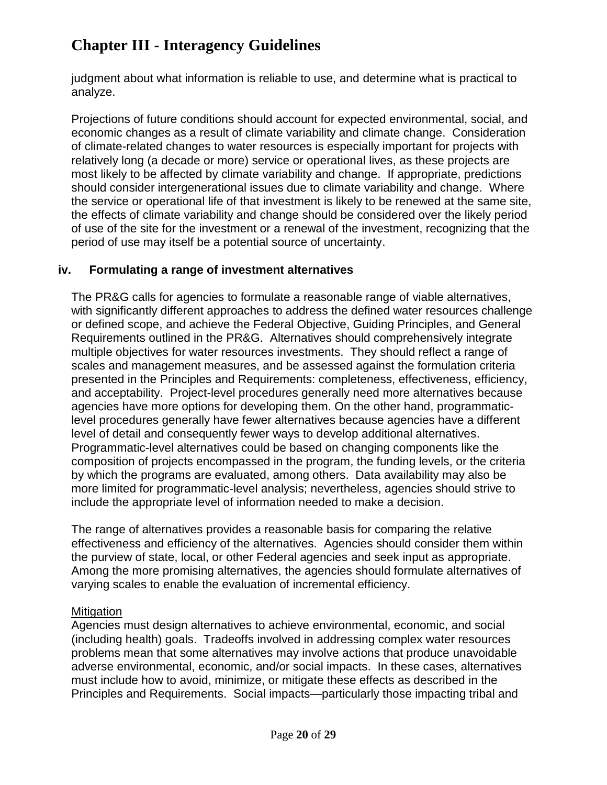judgment about what information is reliable to use, and determine what is practical to analyze.

Projections of future conditions should account for expected environmental, social, and economic changes as a result of climate variability and climate change. Consideration of climate-related changes to water resources is especially important for projects with relatively long (a decade or more) service or operational lives, as these projects are most likely to be affected by climate variability and change. If appropriate, predictions should consider intergenerational issues due to climate variability and change. Where the service or operational life of that investment is likely to be renewed at the same site, the effects of climate variability and change should be considered over the likely period of use of the site for the investment or a renewal of the investment, recognizing that the period of use may itself be a potential source of uncertainty.

### **iv. Formulating a range of investment alternatives**

The PR&G calls for agencies to formulate a reasonable range of viable alternatives, with significantly different approaches to address the defined water resources challenge or defined scope, and achieve the Federal Objective, Guiding Principles, and General Requirements outlined in the PR&G. Alternatives should comprehensively integrate multiple objectives for water resources investments. They should reflect a range of scales and management measures, and be assessed against the formulation criteria presented in the Principles and Requirements: completeness, effectiveness, efficiency, and acceptability. Project-level procedures generally need more alternatives because agencies have more options for developing them. On the other hand, programmaticlevel procedures generally have fewer alternatives because agencies have a different level of detail and consequently fewer ways to develop additional alternatives. Programmatic-level alternatives could be based on changing components like the composition of projects encompassed in the program, the funding levels, or the criteria by which the programs are evaluated, among others. Data availability may also be more limited for programmatic-level analysis; nevertheless, agencies should strive to include the appropriate level of information needed to make a decision.

The range of alternatives provides a reasonable basis for comparing the relative effectiveness and efficiency of the alternatives. Agencies should consider them within the purview of state, local, or other Federal agencies and seek input as appropriate. Among the more promising alternatives, the agencies should formulate alternatives of varying scales to enable the evaluation of incremental efficiency.

#### **Mitigation**

Agencies must design alternatives to achieve environmental, economic, and social (including health) goals. Tradeoffs involved in addressing complex water resources problems mean that some alternatives may involve actions that produce unavoidable adverse environmental, economic, and/or social impacts. In these cases, alternatives must include how to avoid, minimize, or mitigate these effects as described in the Principles and Requirements. Social impacts—particularly those impacting tribal and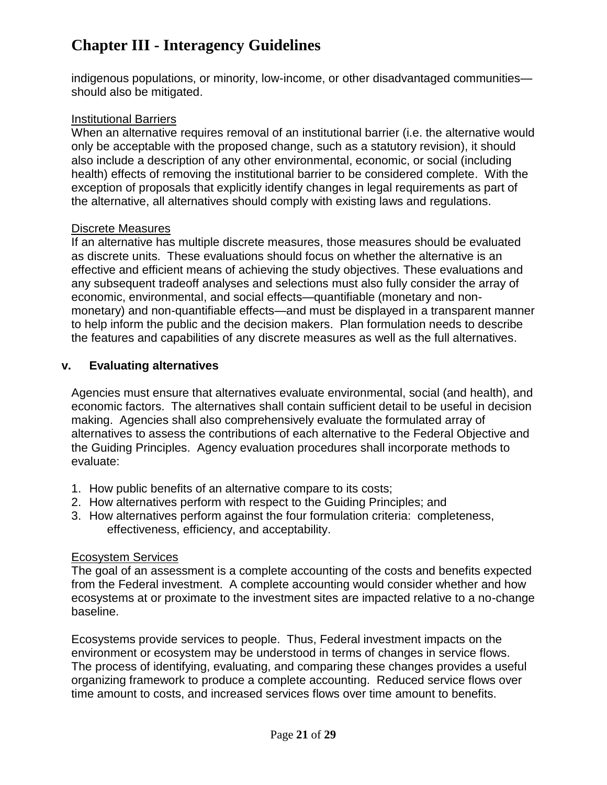indigenous populations, or minority, low-income, or other disadvantaged communities should also be mitigated.

#### Institutional Barriers

When an alternative requires removal of an institutional barrier (i.e. the alternative would only be acceptable with the proposed change, such as a statutory revision), it should also include a description of any other environmental, economic, or social (including health) effects of removing the institutional barrier to be considered complete. With the exception of proposals that explicitly identify changes in legal requirements as part of the alternative, all alternatives should comply with existing laws and regulations.

#### Discrete Measures

If an alternative has multiple discrete measures, those measures should be evaluated as discrete units. These evaluations should focus on whether the alternative is an effective and efficient means of achieving the study objectives. These evaluations and any subsequent tradeoff analyses and selections must also fully consider the array of economic, environmental, and social effects—quantifiable (monetary and nonmonetary) and non-quantifiable effects—and must be displayed in a transparent manner to help inform the public and the decision makers. Plan formulation needs to describe the features and capabilities of any discrete measures as well as the full alternatives.

#### **v. Evaluating alternatives**

Agencies must ensure that alternatives evaluate environmental, social (and health), and economic factors. The alternatives shall contain sufficient detail to be useful in decision making. Agencies shall also comprehensively evaluate the formulated array of alternatives to assess the contributions of each alternative to the Federal Objective and the Guiding Principles. Agency evaluation procedures shall incorporate methods to evaluate:

- 1. How public benefits of an alternative compare to its costs;
- 2. How alternatives perform with respect to the Guiding Principles; and
- 3. How alternatives perform against the four formulation criteria: completeness, effectiveness, efficiency, and acceptability.

#### Ecosystem Services

The goal of an assessment is a complete accounting of the costs and benefits expected from the Federal investment. A complete accounting would consider whether and how ecosystems at or proximate to the investment sites are impacted relative to a no-change baseline.

Ecosystems provide services to people. Thus, Federal investment impacts on the environment or ecosystem may be understood in terms of changes in service flows. The process of identifying, evaluating, and comparing these changes provides a useful organizing framework to produce a complete accounting. Reduced service flows over time amount to costs, and increased services flows over time amount to benefits.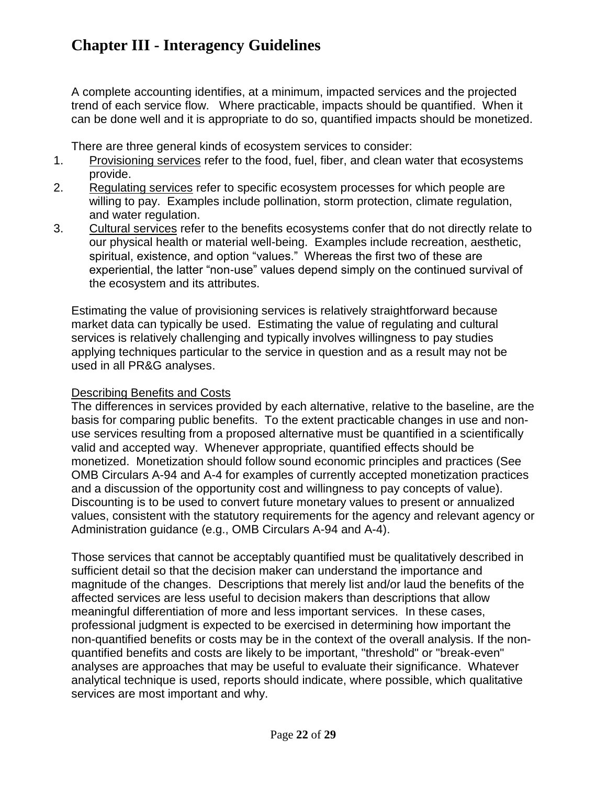A complete accounting identifies, at a minimum, impacted services and the projected trend of each service flow. Where practicable, impacts should be quantified. When it can be done well and it is appropriate to do so, quantified impacts should be monetized.

There are three general kinds of ecosystem services to consider:

- 1. Provisioning services refer to the food, fuel, fiber, and clean water that ecosystems provide.
- 2. Regulating services refer to specific ecosystem processes for which people are willing to pay. Examples include pollination, storm protection, climate regulation, and water regulation.
- 3. Cultural services refer to the benefits ecosystems confer that do not directly relate to our physical health or material well-being. Examples include recreation, aesthetic, spiritual, existence, and option "values." Whereas the first two of these are experiential, the latter "non-use" values depend simply on the continued survival of the ecosystem and its attributes.

Estimating the value of provisioning services is relatively straightforward because market data can typically be used. Estimating the value of regulating and cultural services is relatively challenging and typically involves willingness to pay studies applying techniques particular to the service in question and as a result may not be used in all PR&G analyses.

#### Describing Benefits and Costs

The differences in services provided by each alternative, relative to the baseline, are the basis for comparing public benefits. To the extent practicable changes in use and nonuse services resulting from a proposed alternative must be quantified in a scientifically valid and accepted way. Whenever appropriate, quantified effects should be monetized. Monetization should follow sound economic principles and practices (See OMB Circulars A-94 and A-4 for examples of currently accepted monetization practices and a discussion of the opportunity cost and willingness to pay concepts of value). Discounting is to be used to convert future monetary values to present or annualized values, consistent with the statutory requirements for the agency and relevant agency or Administration guidance (e.g., OMB Circulars A-94 and A-4).

Those services that cannot be acceptably quantified must be qualitatively described in sufficient detail so that the decision maker can understand the importance and magnitude of the changes. Descriptions that merely list and/or laud the benefits of the affected services are less useful to decision makers than descriptions that allow meaningful differentiation of more and less important services. In these cases, professional judgment is expected to be exercised in determining how important the non-quantified benefits or costs may be in the context of the overall analysis. If the nonquantified benefits and costs are likely to be important, "threshold" or "break-even" analyses are approaches that may be useful to evaluate their significance. Whatever analytical technique is used, reports should indicate, where possible, which qualitative services are most important and why.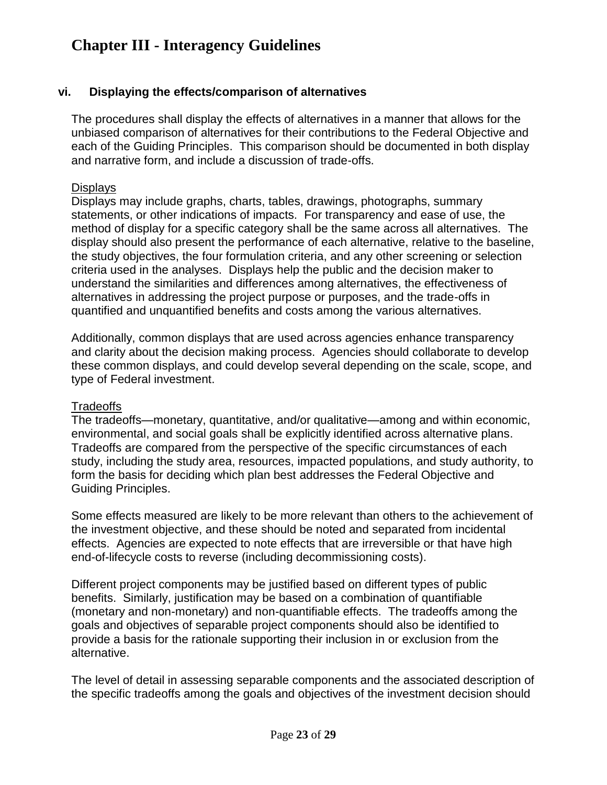#### **vi. Displaying the effects/comparison of alternatives**

The procedures shall display the effects of alternatives in a manner that allows for the unbiased comparison of alternatives for their contributions to the Federal Objective and each of the Guiding Principles. This comparison should be documented in both display and narrative form, and include a discussion of trade-offs.

#### **Displays**

Displays may include graphs, charts, tables, drawings, photographs, summary statements, or other indications of impacts. For transparency and ease of use, the method of display for a specific category shall be the same across all alternatives. The display should also present the performance of each alternative, relative to the baseline, the study objectives, the four formulation criteria, and any other screening or selection criteria used in the analyses. Displays help the public and the decision maker to understand the similarities and differences among alternatives, the effectiveness of alternatives in addressing the project purpose or purposes, and the trade-offs in quantified and unquantified benefits and costs among the various alternatives.

Additionally, common displays that are used across agencies enhance transparency and clarity about the decision making process. Agencies should collaborate to develop these common displays, and could develop several depending on the scale, scope, and type of Federal investment.

#### **Tradeoffs**

The tradeoffs—monetary, quantitative, and/or qualitative—among and within economic, environmental, and social goals shall be explicitly identified across alternative plans. Tradeoffs are compared from the perspective of the specific circumstances of each study, including the study area, resources, impacted populations, and study authority, to form the basis for deciding which plan best addresses the Federal Objective and Guiding Principles.

Some effects measured are likely to be more relevant than others to the achievement of the investment objective, and these should be noted and separated from incidental effects. Agencies are expected to note effects that are irreversible or that have high end-of-lifecycle costs to reverse (including decommissioning costs).

Different project components may be justified based on different types of public benefits. Similarly, justification may be based on a combination of quantifiable (monetary and non-monetary) and non-quantifiable effects. The tradeoffs among the goals and objectives of separable project components should also be identified to provide a basis for the rationale supporting their inclusion in or exclusion from the alternative.

The level of detail in assessing separable components and the associated description of the specific tradeoffs among the goals and objectives of the investment decision should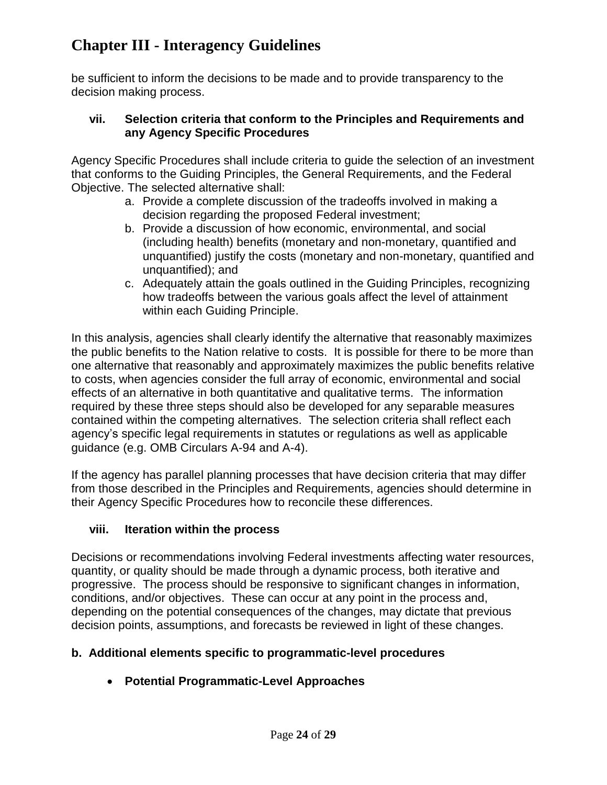be sufficient to inform the decisions to be made and to provide transparency to the decision making process.

#### **vii. Selection criteria that conform to the Principles and Requirements and any Agency Specific Procedures**

Agency Specific Procedures shall include criteria to guide the selection of an investment that conforms to the Guiding Principles, the General Requirements, and the Federal Objective. The selected alternative shall:

- a. Provide a complete discussion of the tradeoffs involved in making a decision regarding the proposed Federal investment;
- b. Provide a discussion of how economic, environmental, and social (including health) benefits (monetary and non-monetary, quantified and unquantified) justify the costs (monetary and non-monetary, quantified and unquantified); and
- c. Adequately attain the goals outlined in the Guiding Principles, recognizing how tradeoffs between the various goals affect the level of attainment within each Guiding Principle.

In this analysis, agencies shall clearly identify the alternative that reasonably maximizes the public benefits to the Nation relative to costs. It is possible for there to be more than one alternative that reasonably and approximately maximizes the public benefits relative to costs, when agencies consider the full array of economic, environmental and social effects of an alternative in both quantitative and qualitative terms. The information required by these three steps should also be developed for any separable measures contained within the competing alternatives. The selection criteria shall reflect each agency's specific legal requirements in statutes or regulations as well as applicable guidance (e.g. OMB Circulars A-94 and A-4).

If the agency has parallel planning processes that have decision criteria that may differ from those described in the Principles and Requirements, agencies should determine in their Agency Specific Procedures how to reconcile these differences.

### **viii. Iteration within the process**

Decisions or recommendations involving Federal investments affecting water resources, quantity, or quality should be made through a dynamic process, both iterative and progressive. The process should be responsive to significant changes in information, conditions, and/or objectives. These can occur at any point in the process and, depending on the potential consequences of the changes, may dictate that previous decision points, assumptions, and forecasts be reviewed in light of these changes.

## <span id="page-45-0"></span>**b. Additional elements specific to programmatic-level procedures**

**Potential Programmatic-Level Approaches**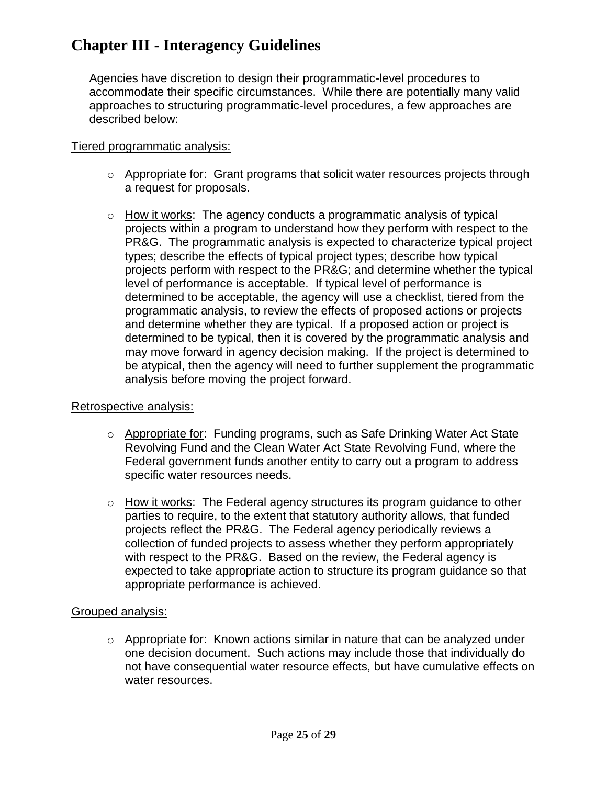Agencies have discretion to design their programmatic-level procedures to accommodate their specific circumstances. While there are potentially many valid approaches to structuring programmatic-level procedures, a few approaches are described below:

#### Tiered programmatic analysis:

- $\circ$  Appropriate for: Grant programs that solicit water resources projects through a request for proposals.
- $\circ$  How it works: The agency conducts a programmatic analysis of typical projects within a program to understand how they perform with respect to the PR&G. The programmatic analysis is expected to characterize typical project types; describe the effects of typical project types; describe how typical projects perform with respect to the PR&G; and determine whether the typical level of performance is acceptable. If typical level of performance is determined to be acceptable, the agency will use a checklist, tiered from the programmatic analysis, to review the effects of proposed actions or projects and determine whether they are typical. If a proposed action or project is determined to be typical, then it is covered by the programmatic analysis and may move forward in agency decision making. If the project is determined to be atypical, then the agency will need to further supplement the programmatic analysis before moving the project forward.

#### Retrospective analysis:

- o Appropriate for: Funding programs, such as Safe Drinking Water Act State Revolving Fund and the Clean Water Act State Revolving Fund, where the Federal government funds another entity to carry out a program to address specific water resources needs.
- $\circ$  How it works: The Federal agency structures its program guidance to other parties to require, to the extent that statutory authority allows, that funded projects reflect the PR&G. The Federal agency periodically reviews a collection of funded projects to assess whether they perform appropriately with respect to the PR&G. Based on the review, the Federal agency is expected to take appropriate action to structure its program guidance so that appropriate performance is achieved.

#### Grouped analysis:

o Appropriate for: Known actions similar in nature that can be analyzed under one decision document. Such actions may include those that individually do not have consequential water resource effects, but have cumulative effects on water resources.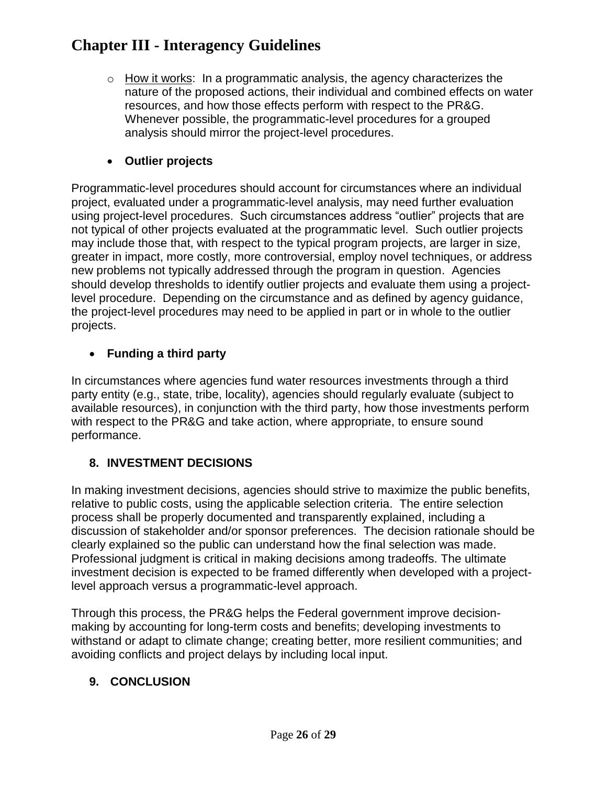$\circ$  How it works: In a programmatic analysis, the agency characterizes the nature of the proposed actions, their individual and combined effects on water resources, and how those effects perform with respect to the PR&G. Whenever possible, the programmatic-level procedures for a grouped analysis should mirror the project-level procedures.

### **Outlier projects**

Programmatic-level procedures should account for circumstances where an individual project, evaluated under a programmatic-level analysis, may need further evaluation using project-level procedures. Such circumstances address "outlier" projects that are not typical of other projects evaluated at the programmatic level. Such outlier projects may include those that, with respect to the typical program projects, are larger in size, greater in impact, more costly, more controversial, employ novel techniques, or address new problems not typically addressed through the program in question. Agencies should develop thresholds to identify outlier projects and evaluate them using a projectlevel procedure. Depending on the circumstance and as defined by agency guidance, the project-level procedures may need to be applied in part or in whole to the outlier projects.

### **Funding a third party**

In circumstances where agencies fund water resources investments through a third party entity (e.g., state, tribe, locality), agencies should regularly evaluate (subject to available resources), in conjunction with the third party, how those investments perform with respect to the PR&G and take action, where appropriate, to ensure sound performance.

## <span id="page-47-0"></span>**8. INVESTMENT DECISIONS**

In making investment decisions, agencies should strive to maximize the public benefits, relative to public costs, using the applicable selection criteria. The entire selection process shall be properly documented and transparently explained, including a discussion of stakeholder and/or sponsor preferences. The decision rationale should be clearly explained so the public can understand how the final selection was made. Professional judgment is critical in making decisions among tradeoffs. The ultimate investment decision is expected to be framed differently when developed with a projectlevel approach versus a programmatic-level approach.

Through this process, the PR&G helps the Federal government improve decisionmaking by accounting for long-term costs and benefits; developing investments to withstand or adapt to climate change; creating better, more resilient communities; and avoiding conflicts and project delays by including local input.

## <span id="page-47-1"></span>**9. CONCLUSION**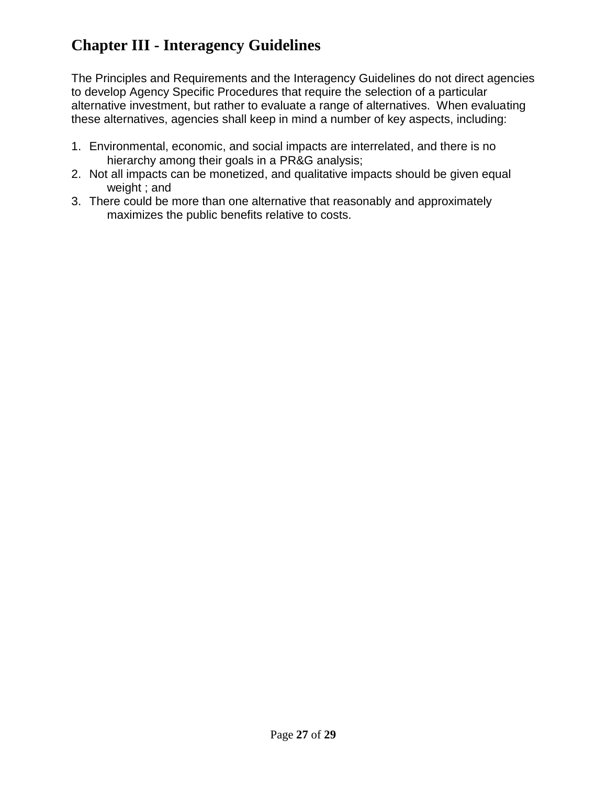The Principles and Requirements and the Interagency Guidelines do not direct agencies to develop Agency Specific Procedures that require the selection of a particular alternative investment, but rather to evaluate a range of alternatives. When evaluating these alternatives, agencies shall keep in mind a number of key aspects, including:

- 1. Environmental, economic, and social impacts are interrelated, and there is no hierarchy among their goals in a PR&G analysis;
- 2. Not all impacts can be monetized, and qualitative impacts should be given equal weight ; and
- 3. There could be more than one alternative that reasonably and approximately maximizes the public benefits relative to costs.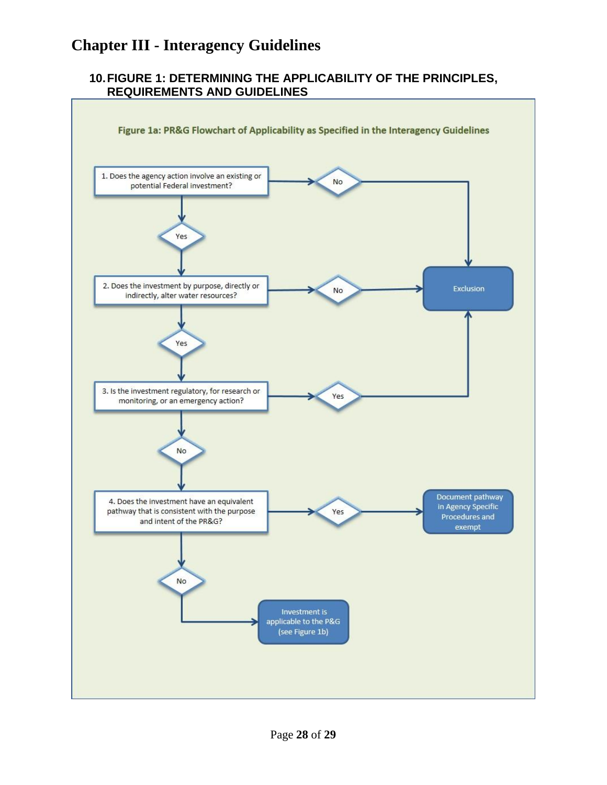#### <span id="page-49-0"></span>**10.FIGURE 1: DETERMINING THE APPLICABILITY OF THE PRINCIPLES, REQUIREMENTS AND GUIDELINES**